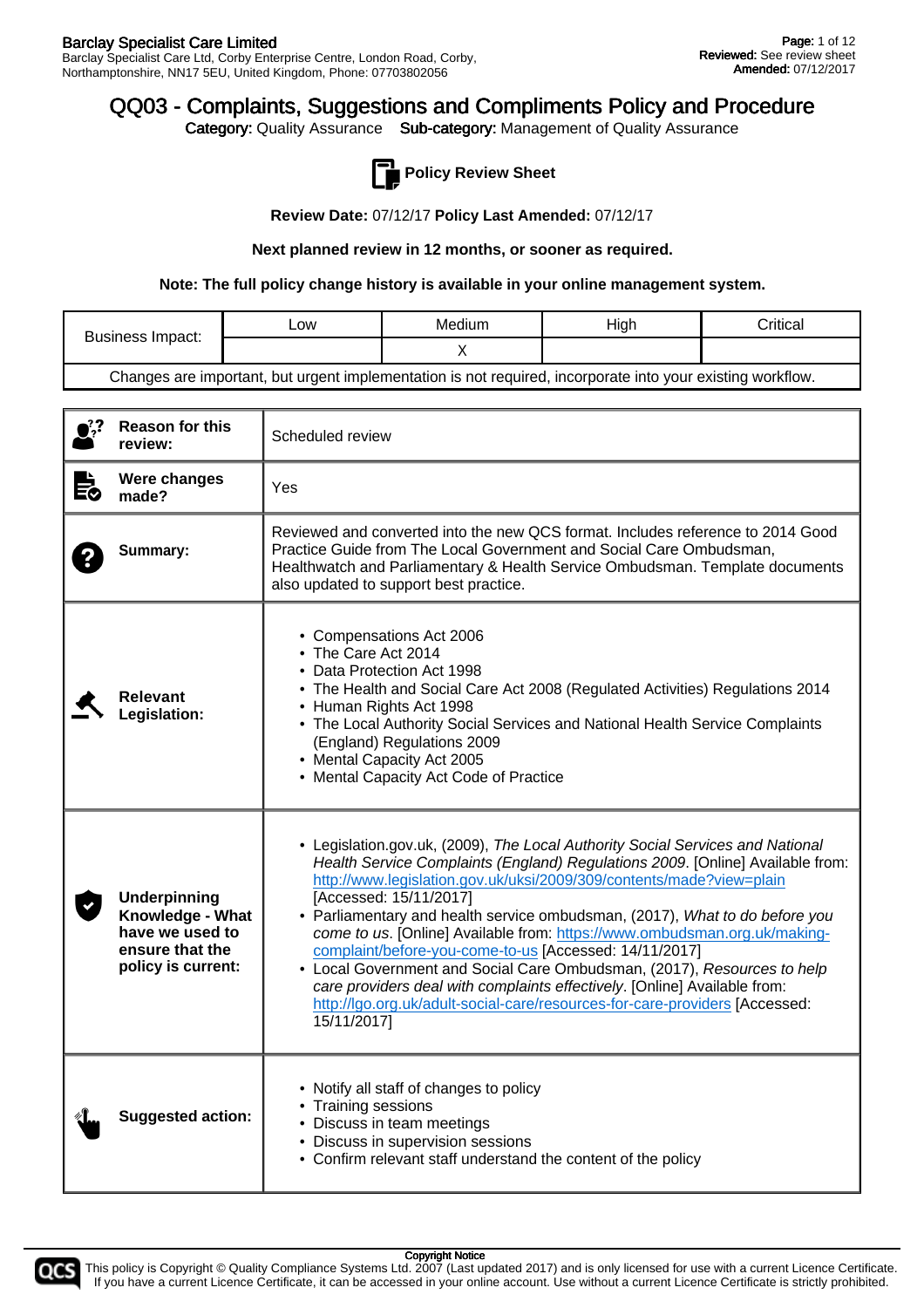Category: Quality Assurance Sub-category: Management of Quality Assurance



**Policy Review Sheet** 

**Review Date:** 07/12/17 **Policy Last Amended:** 07/12/17

**Next planned review in 12 months, or sooner as required.**

**Note: The full policy change history is available in your online management system.**

| Business Impact:                                                                                           | _OW | Medium | High | Critical |
|------------------------------------------------------------------------------------------------------------|-----|--------|------|----------|
|                                                                                                            |     |        |      |          |
| Changes are important, but urgent implementation is not required, incorporate into your existing workflow. |     |        |      |          |

|    | <b>Reason for this</b><br>review:                                                                   | Scheduled review                                                                                                                                                                                                                                                                                                                                                                                                                                                                                                                                                                                                                                                                                                                               |
|----|-----------------------------------------------------------------------------------------------------|------------------------------------------------------------------------------------------------------------------------------------------------------------------------------------------------------------------------------------------------------------------------------------------------------------------------------------------------------------------------------------------------------------------------------------------------------------------------------------------------------------------------------------------------------------------------------------------------------------------------------------------------------------------------------------------------------------------------------------------------|
| È. | <b>Were changes</b><br>made?                                                                        | Yes                                                                                                                                                                                                                                                                                                                                                                                                                                                                                                                                                                                                                                                                                                                                            |
|    | Summary:                                                                                            | Reviewed and converted into the new QCS format. Includes reference to 2014 Good<br>Practice Guide from The Local Government and Social Care Ombudsman,<br>Healthwatch and Parliamentary & Health Service Ombudsman. Template documents<br>also updated to support best practice.                                                                                                                                                                                                                                                                                                                                                                                                                                                               |
|    | <b>Relevant</b><br>Legislation:                                                                     | • Compensations Act 2006<br>• The Care Act 2014<br>• Data Protection Act 1998<br>• The Health and Social Care Act 2008 (Regulated Activities) Regulations 2014<br>• Human Rights Act 1998<br>• The Local Authority Social Services and National Health Service Complaints<br>(England) Regulations 2009<br>• Mental Capacity Act 2005<br>• Mental Capacity Act Code of Practice                                                                                                                                                                                                                                                                                                                                                                |
|    | <b>Underpinning</b><br>Knowledge - What<br>have we used to<br>ensure that the<br>policy is current: | • Legislation.gov.uk, (2009), The Local Authority Social Services and National<br>Health Service Complaints (England) Regulations 2009. [Online] Available from:<br>http://www.legislation.gov.uk/uksi/2009/309/contents/made?view=plain<br>[Accessed: 15/11/2017]<br>• Parliamentary and health service ombudsman, (2017), What to do before you<br>come to us. [Online] Available from: https://www.ombudsman.org.uk/making-<br>complaint/before-you-come-to-us [Accessed: 14/11/2017]<br>• Local Government and Social Care Ombudsman, (2017), Resources to help<br>care providers deal with complaints effectively. [Online] Available from:<br>http://lgo.org.uk/adult-social-care/resources-for-care-providers [Accessed:<br>15/11/2017] |
|    | <b>Suggested action:</b>                                                                            | • Notify all staff of changes to policy<br>• Training sessions<br>• Discuss in team meetings<br>• Discuss in supervision sessions<br>• Confirm relevant staff understand the content of the policy                                                                                                                                                                                                                                                                                                                                                                                                                                                                                                                                             |

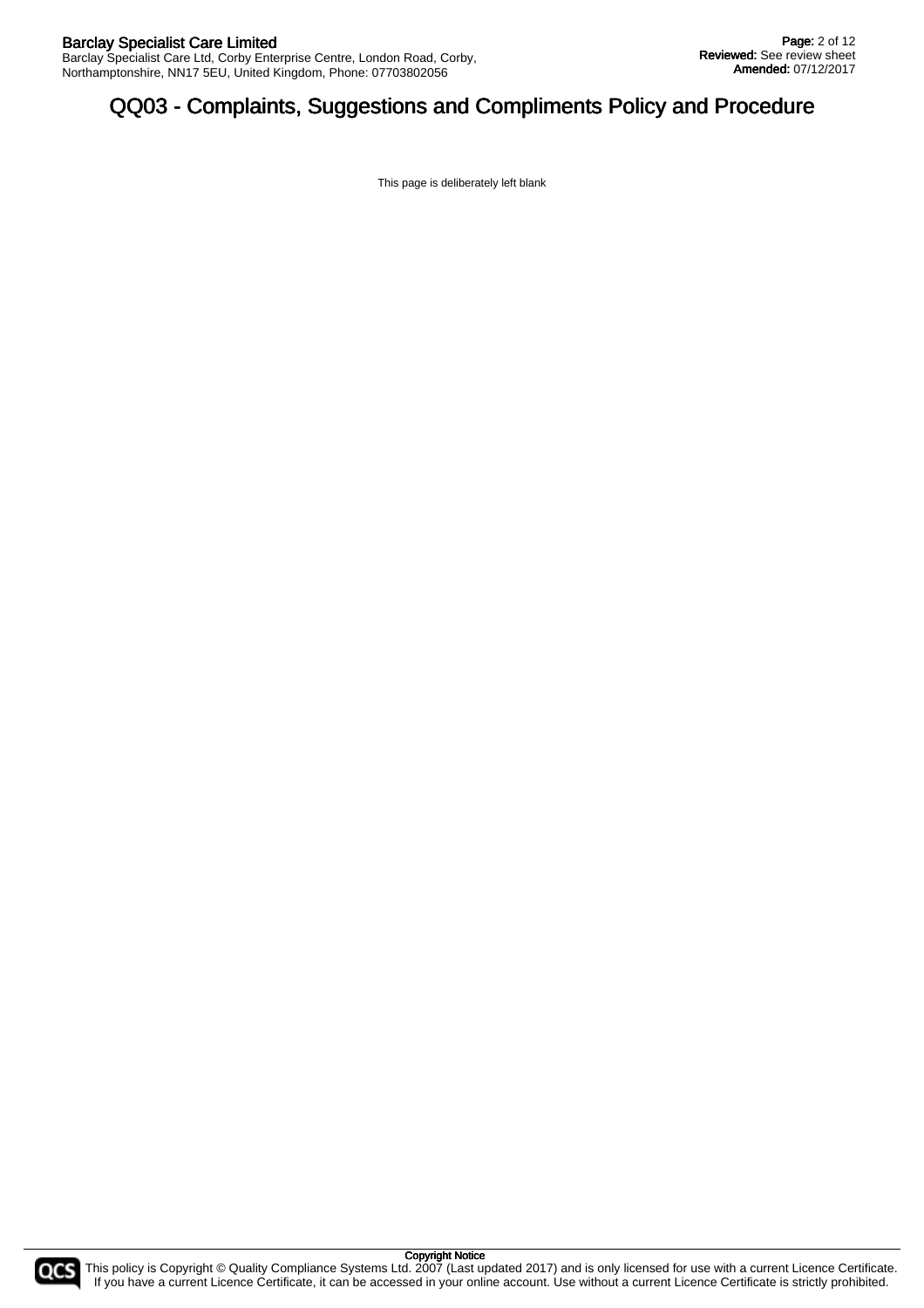This page is deliberately left blank

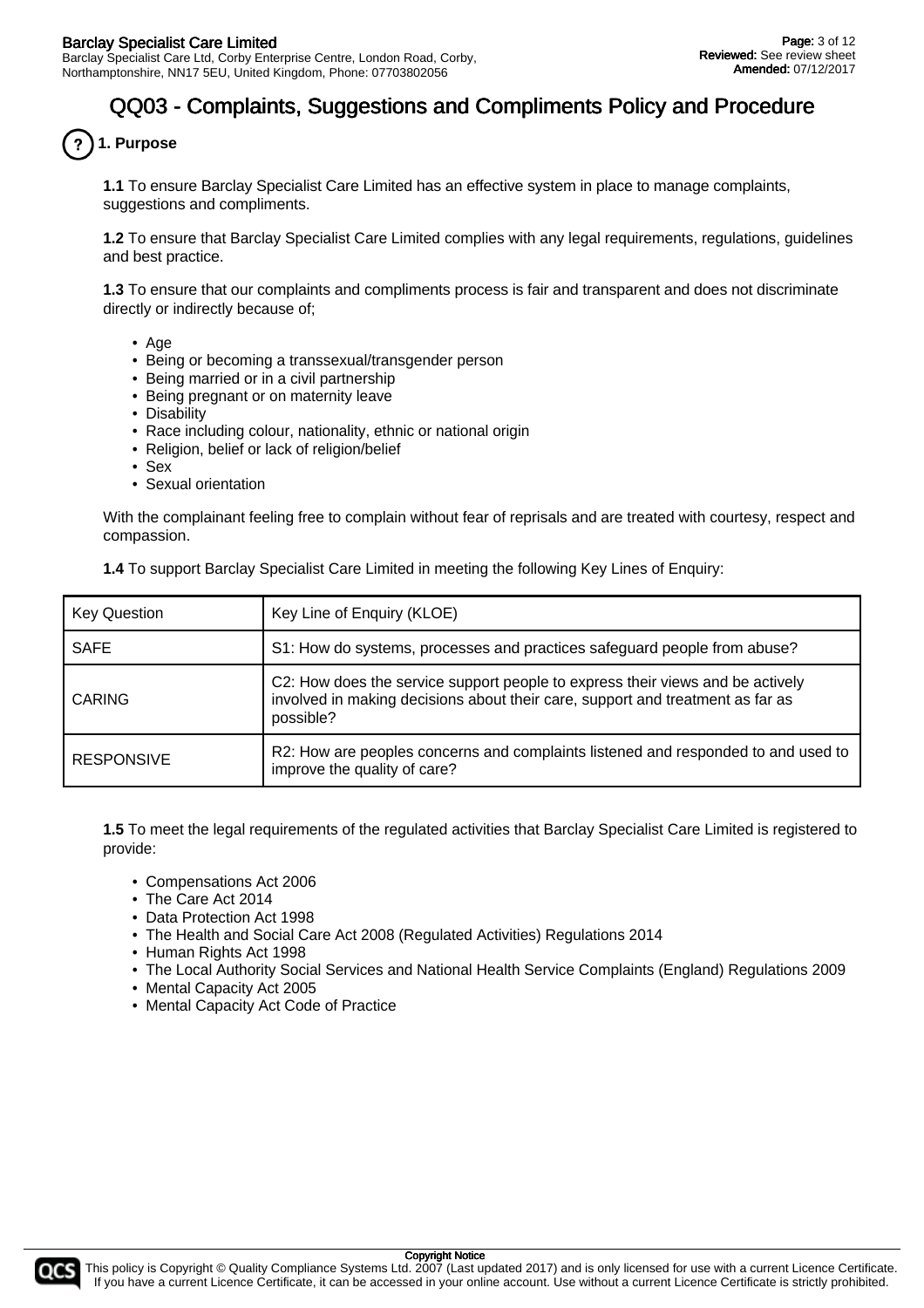**1. Purpose**

**1.1** To ensure Barclay Specialist Care Limited has an effective system in place to manage complaints, suggestions and compliments.

**1.2** To ensure that Barclay Specialist Care Limited complies with any legal requirements, regulations, guidelines and best practice.

**1.3** To ensure that our complaints and compliments process is fair and transparent and does not discriminate directly or indirectly because of;

- Age
- Being or becoming a transsexual/transgender person
- Being married or in a civil partnership
- Being pregnant or on maternity leave
- Disability
- Race including colour, nationality, ethnic or national origin
- Religion, belief or lack of religion/belief
- Sex
- Sexual orientation

With the complainant feeling free to complain without fear of reprisals and are treated with courtesy, respect and compassion.

| <b>Key Question</b> | Key Line of Enquiry (KLOE)                                                                                                                                                    |
|---------------------|-------------------------------------------------------------------------------------------------------------------------------------------------------------------------------|
| <b>SAFE</b>         | S1: How do systems, processes and practices safeguard people from abuse?                                                                                                      |
| <b>CARING</b>       | C2: How does the service support people to express their views and be actively<br>involved in making decisions about their care, support and treatment as far as<br>possible? |
| <b>RESPONSIVE</b>   | R2: How are peoples concerns and complaints listened and responded to and used to<br>improve the quality of care?                                                             |

**1.4** To support Barclay Specialist Care Limited in meeting the following Key Lines of Enquiry:

**1.5** To meet the legal requirements of the regulated activities that Barclay Specialist Care Limited is registered to provide:

- Compensations Act 2006
- The Care Act 2014
- Data Protection Act 1998
- The Health and Social Care Act 2008 (Regulated Activities) Regulations 2014
- Human Rights Act 1998
- The Local Authority Social Services and National Health Service Complaints (England) Regulations 2009
- Mental Capacity Act 2005
- Mental Capacity Act Code of Practice

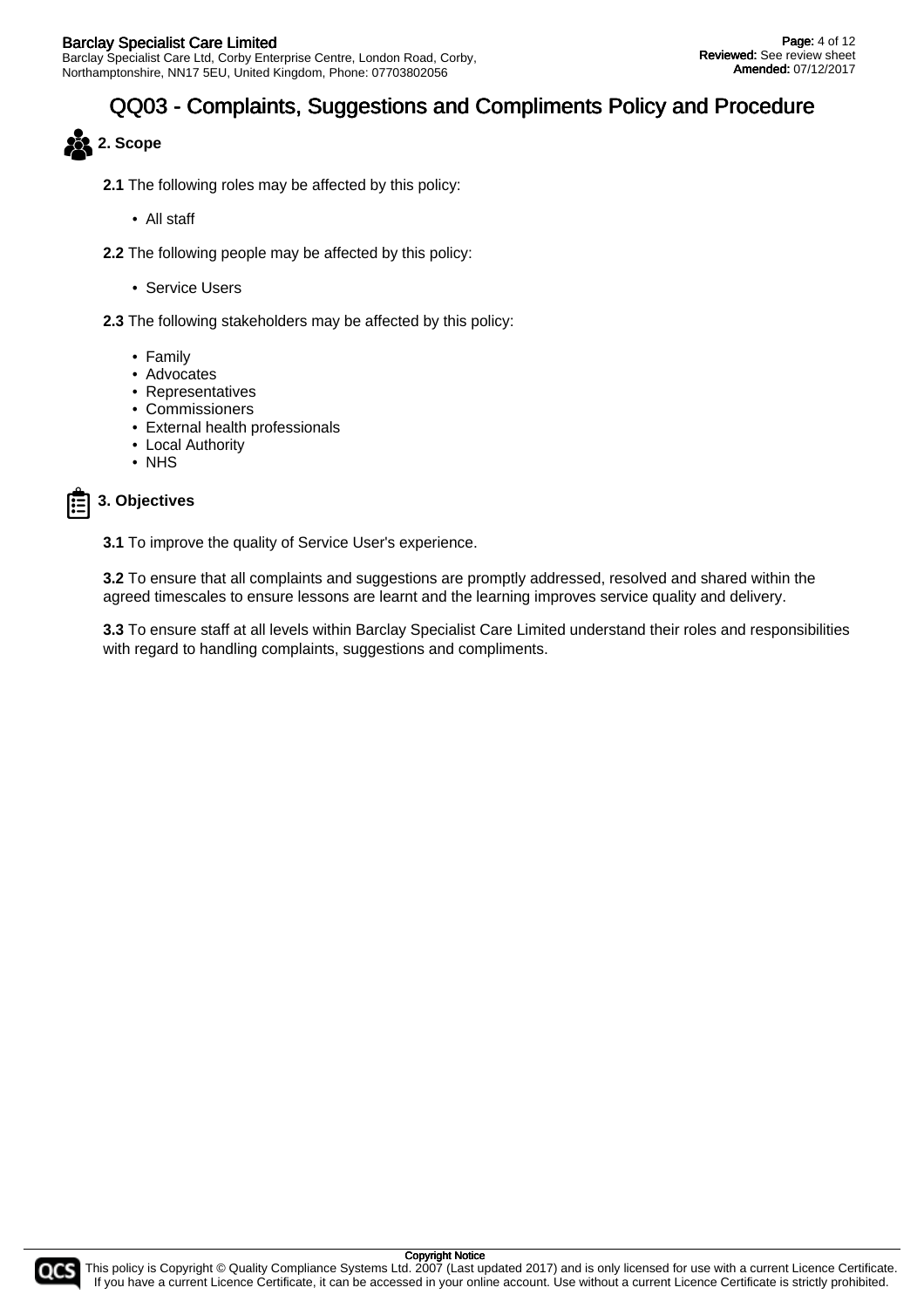

- **2.1** The following roles may be affected by this policy:
	- All staff
- **2.2** The following people may be affected by this policy:
	- Service Users
- **2.3** The following stakeholders may be affected by this policy:
	- Family
	- Advocates
	- Representatives
	- Commissioners
	- External health professionals
	- Local Authority
	- NHS

# **3. Objectives**

**3.1** To improve the quality of Service User's experience.

**3.2** To ensure that all complaints and suggestions are promptly addressed, resolved and shared within the agreed timescales to ensure lessons are learnt and the learning improves service quality and delivery.

**3.3** To ensure staff at all levels within Barclay Specialist Care Limited understand their roles and responsibilities with regard to handling complaints, suggestions and compliments.



This policy is Copyright © Quality Compliance Systems Ltd. 2007 (Last updated 2017) and is only licensed for use with a current Licence Certificate. If you have a current Licence Certificate, it can be accessed in your online account. Use without a current Licence Certificate is strictly prohibited.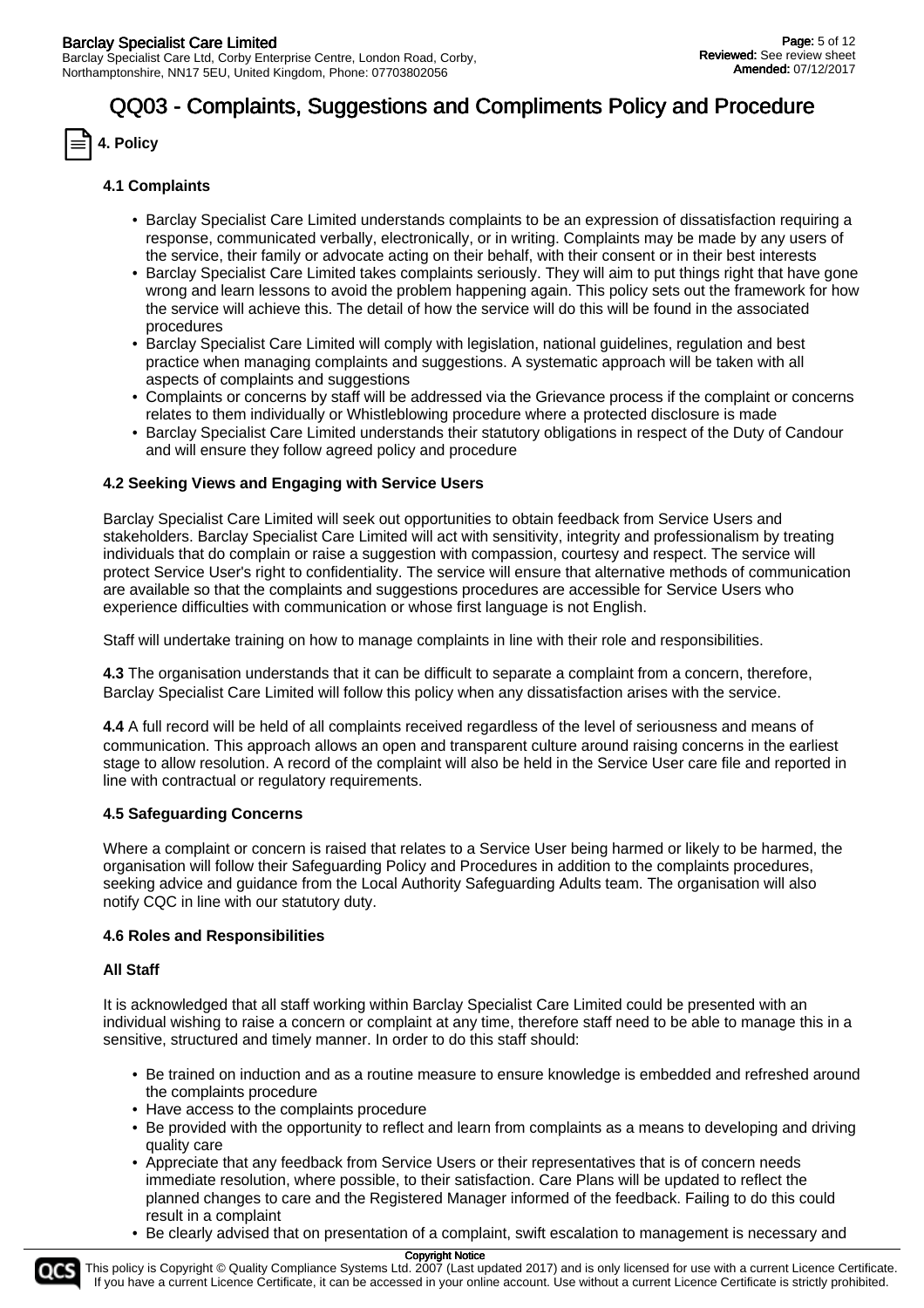

# **4.1 Complaints**

- Barclay Specialist Care Limited understands complaints to be an expression of dissatisfaction requiring a response, communicated verbally, electronically, or in writing. Complaints may be made by any users of the service, their family or advocate acting on their behalf, with their consent or in their best interests
- Barclay Specialist Care Limited takes complaints seriously. They will aim to put things right that have gone wrong and learn lessons to avoid the problem happening again. This policy sets out the framework for how the service will achieve this. The detail of how the service will do this will be found in the associated procedures
- Barclay Specialist Care Limited will comply with legislation, national guidelines, regulation and best practice when managing complaints and suggestions. A systematic approach will be taken with all aspects of complaints and suggestions
- Complaints or concerns by staff will be addressed via the Grievance process if the complaint or concerns relates to them individually or Whistleblowing procedure where a protected disclosure is made
- Barclay Specialist Care Limited understands their statutory obligations in respect of the Duty of Candour and will ensure they follow agreed policy and procedure

### **4.2 Seeking Views and Engaging with Service Users**

Barclay Specialist Care Limited will seek out opportunities to obtain feedback from Service Users and stakeholders. Barclay Specialist Care Limited will act with sensitivity, integrity and professionalism by treating individuals that do complain or raise a suggestion with compassion, courtesy and respect. The service will protect Service User's right to confidentiality. The service will ensure that alternative methods of communication are available so that the complaints and suggestions procedures are accessible for Service Users who experience difficulties with communication or whose first language is not English.

Staff will undertake training on how to manage complaints in line with their role and responsibilities.

**4.3** The organisation understands that it can be difficult to separate a complaint from a concern, therefore, Barclay Specialist Care Limited will follow this policy when any dissatisfaction arises with the service.

**4.4** A full record will be held of all complaints received regardless of the level of seriousness and means of communication. This approach allows an open and transparent culture around raising concerns in the earliest stage to allow resolution. A record of the complaint will also be held in the Service User care file and reported in line with contractual or regulatory requirements.

### **4.5 Safeguarding Concerns**

Where a complaint or concern is raised that relates to a Service User being harmed or likely to be harmed, the organisation will follow their Safeguarding Policy and Procedures in addition to the complaints procedures, seeking advice and guidance from the Local Authority Safeguarding Adults team. The organisation will also notify CQC in line with our statutory duty.

### **4.6 Roles and Responsibilities**

### **All Staff**

It is acknowledged that all staff working within Barclay Specialist Care Limited could be presented with an individual wishing to raise a concern or complaint at any time, therefore staff need to be able to manage this in a sensitive, structured and timely manner. In order to do this staff should:

- Be trained on induction and as a routine measure to ensure knowledge is embedded and refreshed around the complaints procedure
- Have access to the complaints procedure
- Be provided with the opportunity to reflect and learn from complaints as a means to developing and driving quality care
- Appreciate that any feedback from Service Users or their representatives that is of concern needs immediate resolution, where possible, to their satisfaction. Care Plans will be updated to reflect the planned changes to care and the Registered Manager informed of the feedback. Failing to do this could result in a complaint
- Be clearly advised that on presentation of a complaint, swift escalation to management is necessary and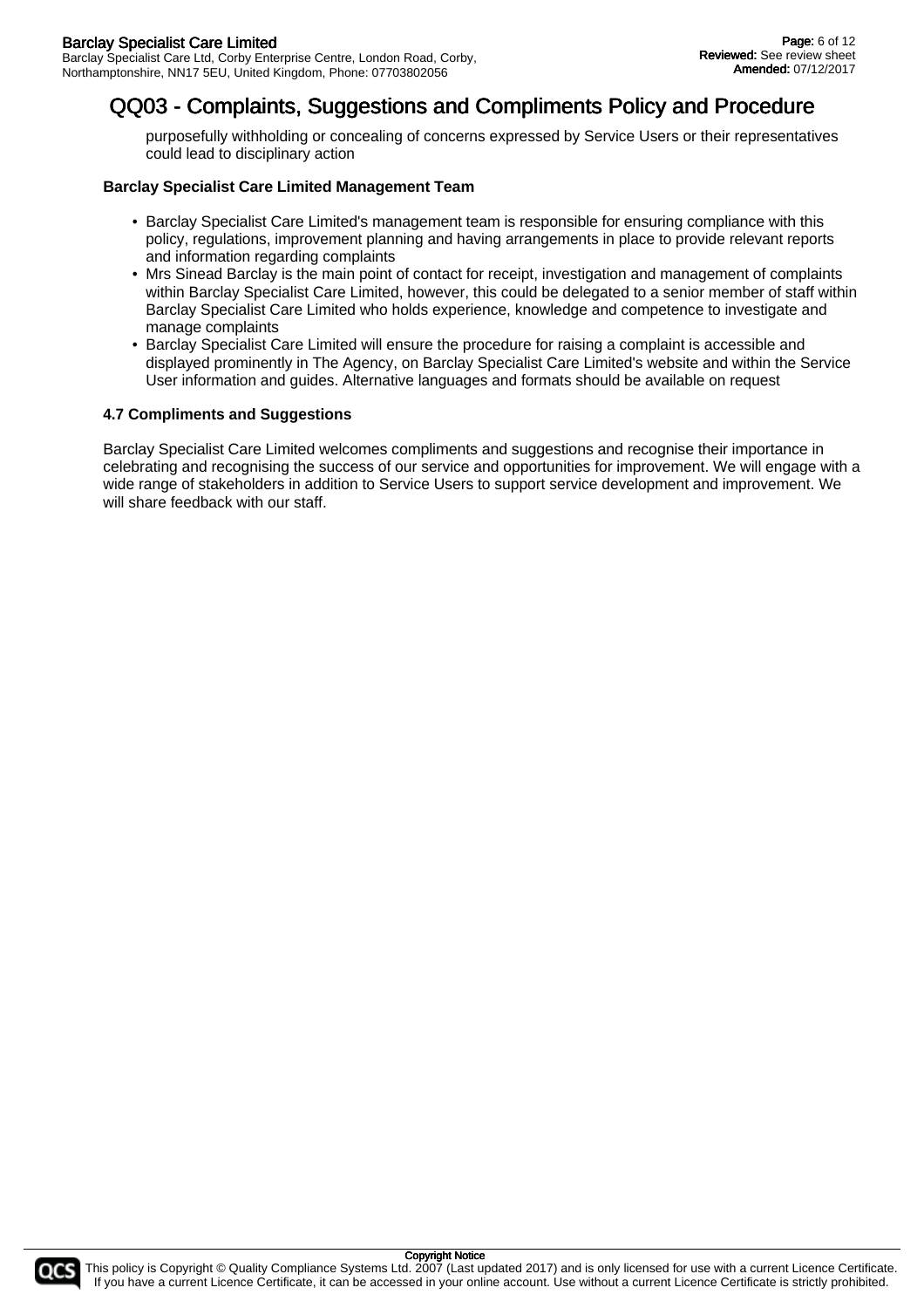purposefully withholding or concealing of concerns expressed by Service Users or their representatives could lead to disciplinary action

### **Barclay Specialist Care Limited Management Team**

- Barclay Specialist Care Limited's management team is responsible for ensuring compliance with this policy, regulations, improvement planning and having arrangements in place to provide relevant reports and information regarding complaints
- Mrs Sinead Barclay is the main point of contact for receipt, investigation and management of complaints within Barclay Specialist Care Limited, however, this could be delegated to a senior member of staff within Barclay Specialist Care Limited who holds experience, knowledge and competence to investigate and manage complaints
- Barclay Specialist Care Limited will ensure the procedure for raising a complaint is accessible and displayed prominently in The Agency, on Barclay Specialist Care Limited's website and within the Service User information and guides. Alternative languages and formats should be available on request

### **4.7 Compliments and Suggestions**

Barclay Specialist Care Limited welcomes compliments and suggestions and recognise their importance in celebrating and recognising the success of our service and opportunities for improvement. We will engage with a wide range of stakeholders in addition to Service Users to support service development and improvement. We will share feedback with our staff.

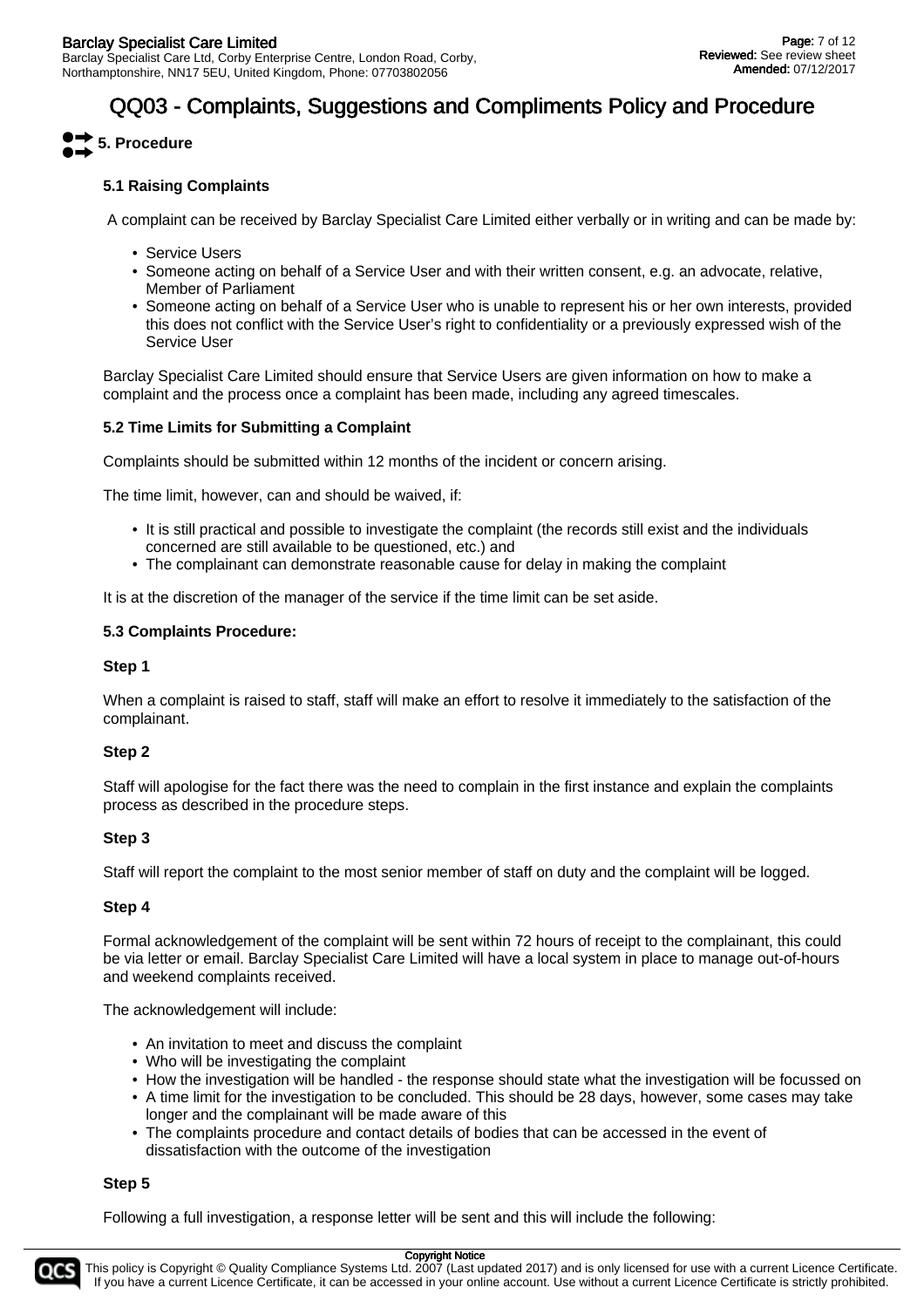# **5. Procedure**

# **5.1 Raising Complaints**

A complaint can be received by Barclay Specialist Care Limited either verbally or in writing and can be made by:

- Service Users
- Someone acting on behalf of a Service User and with their written consent, e.g. an advocate, relative, Member of Parliament
- Someone acting on behalf of a Service User who is unable to represent his or her own interests, provided this does not conflict with the Service User's right to confidentiality or a previously expressed wish of the Service User

Barclay Specialist Care Limited should ensure that Service Users are given information on how to make a complaint and the process once a complaint has been made, including any agreed timescales.

# **5.2 Time Limits for Submitting a Complaint**

Complaints should be submitted within 12 months of the incident or concern arising.

The time limit, however, can and should be waived, if:

- It is still practical and possible to investigate the complaint (the records still exist and the individuals concerned are still available to be questioned, etc.) and
- The complainant can demonstrate reasonable cause for delay in making the complaint

It is at the discretion of the manager of the service if the time limit can be set aside.

### **5.3 Complaints Procedure:**

### **Step 1**

When a complaint is raised to staff, staff will make an effort to resolve it immediately to the satisfaction of the complainant.

### **Step 2**

Staff will apologise for the fact there was the need to complain in the first instance and explain the complaints process as described in the procedure steps.

### **Step 3**

Staff will report the complaint to the most senior member of staff on duty and the complaint will be logged.

### **Step 4**

Formal acknowledgement of the complaint will be sent within 72 hours of receipt to the complainant, this could be via letter or email. Barclay Specialist Care Limited will have a local system in place to manage out-of-hours and weekend complaints received.

The acknowledgement will include:

- An invitation to meet and discuss the complaint
- Who will be investigating the complaint
- How the investigation will be handled the response should state what the investigation will be focussed on
- A time limit for the investigation to be concluded. This should be 28 days, however, some cases may take longer and the complainant will be made aware of this
- The complaints procedure and contact details of bodies that can be accessed in the event of dissatisfaction with the outcome of the investigation

### **Step 5**

Following a full investigation, a response letter will be sent and this will include the following:

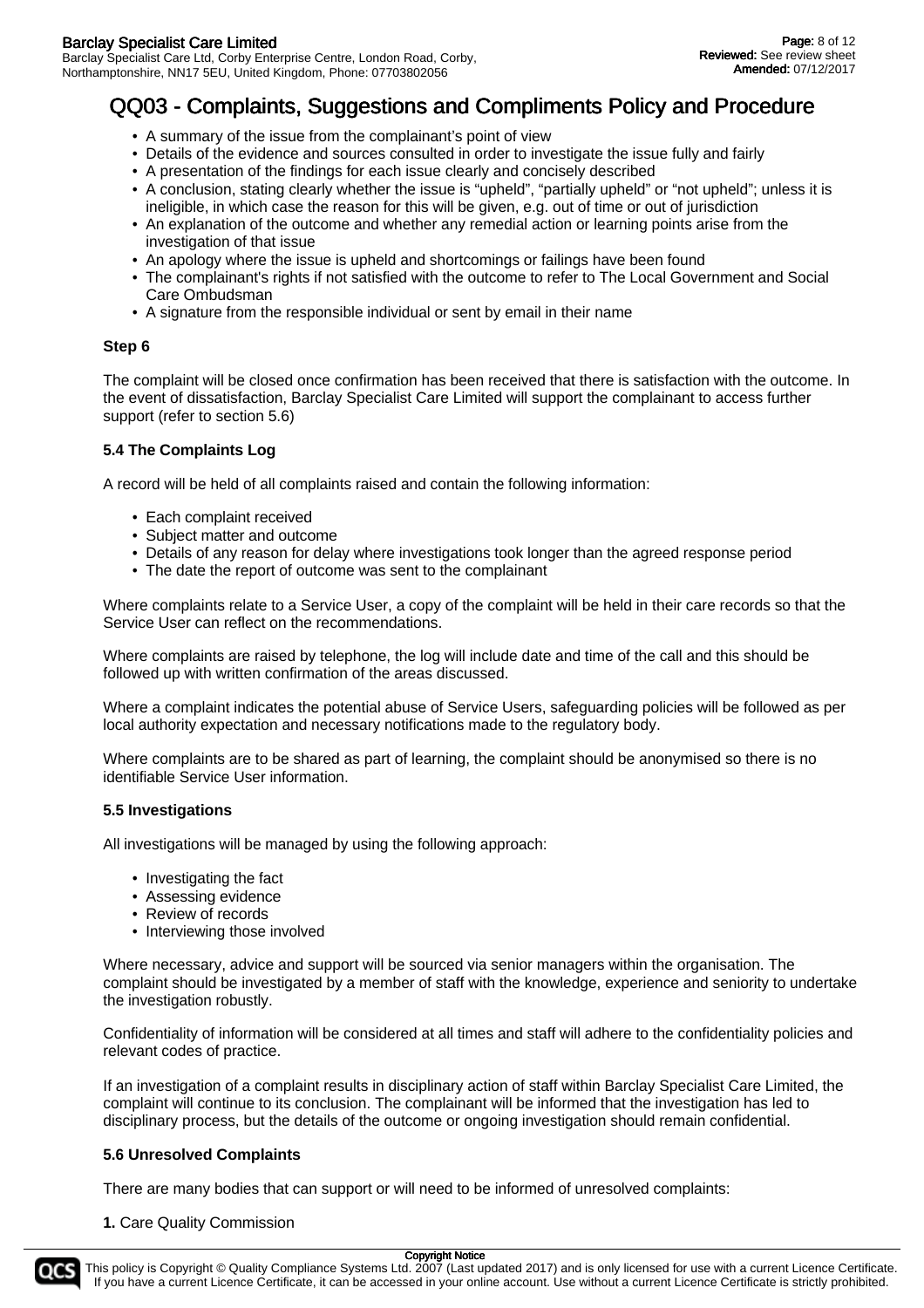- A summary of the issue from the complainant's point of view
- Details of the evidence and sources consulted in order to investigate the issue fully and fairly
- A presentation of the findings for each issue clearly and concisely described
- A conclusion, stating clearly whether the issue is "upheld", "partially upheld" or "not upheld"; unless it is ineligible, in which case the reason for this will be given, e.g. out of time or out of jurisdiction
- An explanation of the outcome and whether any remedial action or learning points arise from the investigation of that issue
- An apology where the issue is upheld and shortcomings or failings have been found
- The complainant's rights if not satisfied with the outcome to refer to The Local Government and Social Care Ombudsman
- A signature from the responsible individual or sent by email in their name

# **Step 6**

The complaint will be closed once confirmation has been received that there is satisfaction with the outcome. In the event of dissatisfaction, Barclay Specialist Care Limited will support the complainant to access further support (refer to section 5.6)

# **5.4 The Complaints Log**

A record will be held of all complaints raised and contain the following information:

- Each complaint received
- Subject matter and outcome
- Details of any reason for delay where investigations took longer than the agreed response period
- The date the report of outcome was sent to the complainant

Where complaints relate to a Service User, a copy of the complaint will be held in their care records so that the Service User can reflect on the recommendations.

Where complaints are raised by telephone, the log will include date and time of the call and this should be followed up with written confirmation of the areas discussed.

Where a complaint indicates the potential abuse of Service Users, safeguarding policies will be followed as per local authority expectation and necessary notifications made to the regulatory body.

Where complaints are to be shared as part of learning, the complaint should be anonymised so there is no identifiable Service User information.

### **5.5 Investigations**

All investigations will be managed by using the following approach:

- Investigating the fact
- Assessing evidence
- Review of records
- Interviewing those involved

Where necessary, advice and support will be sourced via senior managers within the organisation. The complaint should be investigated by a member of staff with the knowledge, experience and seniority to undertake the investigation robustly.

Confidentiality of information will be considered at all times and staff will adhere to the confidentiality policies and relevant codes of practice.

If an investigation of a complaint results in disciplinary action of staff within Barclay Specialist Care Limited, the complaint will continue to its conclusion. The complainant will be informed that the investigation has led to disciplinary process, but the details of the outcome or ongoing investigation should remain confidential.

### **5.6 Unresolved Complaints**

There are many bodies that can support or will need to be informed of unresolved complaints:

### **1.** Care Quality Commission

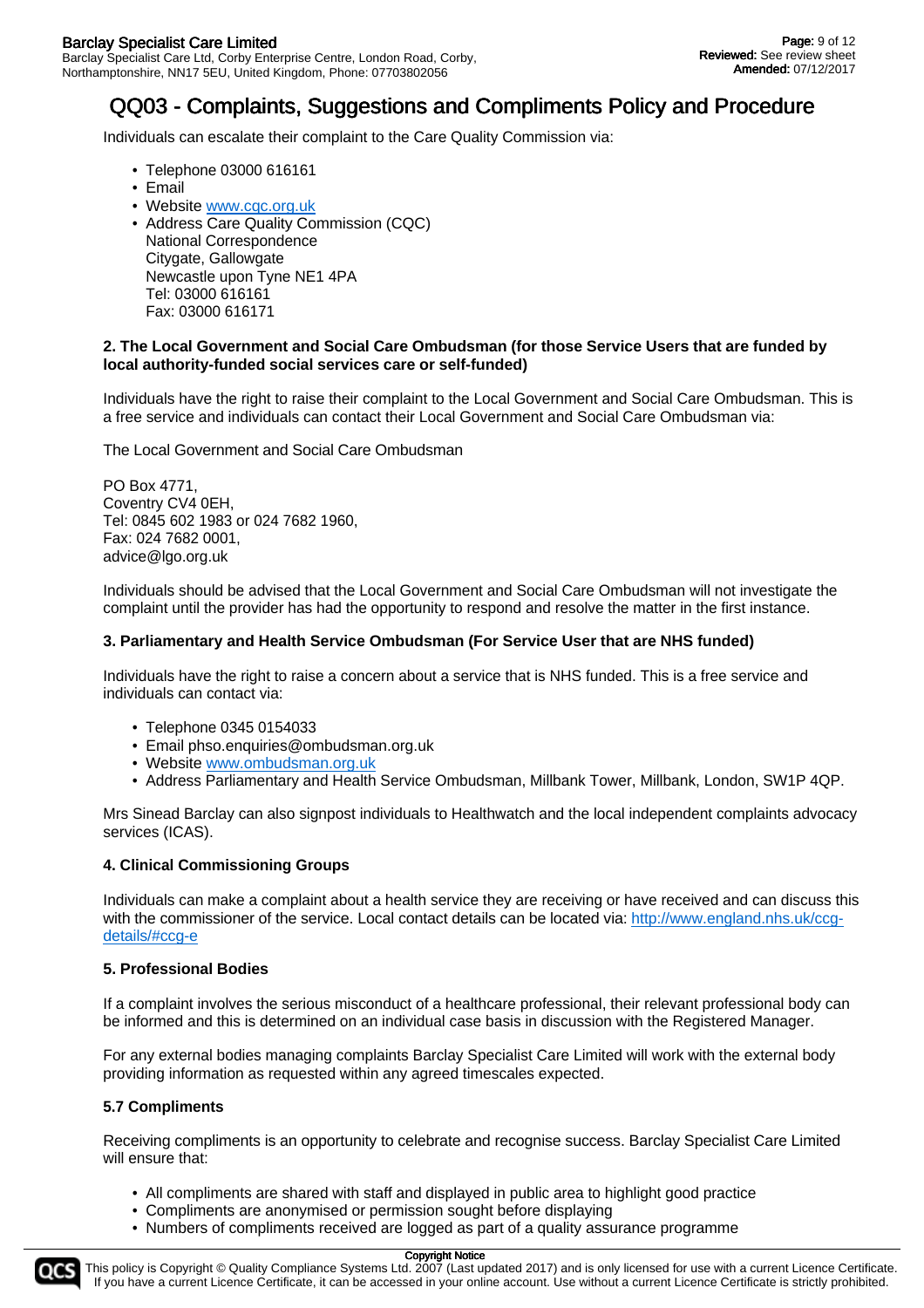Individuals can escalate their complaint to the Care Quality Commission via:

- Telephone 03000 616161
- Email
- Website [www.cqc.org.uk](http://www.cqc.org.uk/)
- Address Care Quality Commission (CQC) National Correspondence Citygate, Gallowgate Newcastle upon Tyne NE1 4PA Tel: 03000 616161 Fax: 03000 616171

### **2. The Local Government and Social Care Ombudsman (for those Service Users that are funded by local authority-funded social services care or self-funded)**

Individuals have the right to raise their complaint to the Local Government and Social Care Ombudsman. This is a free service and individuals can contact their Local Government and Social Care Ombudsman via:

The Local Government and Social Care Ombudsman

PO Box 4771, Coventry CV4 0EH, Tel: 0845 602 1983 or 024 7682 1960, Fax: 024 7682 0001, advice@lgo.org.uk

Individuals should be advised that the Local Government and Social Care Ombudsman will not investigate the complaint until the provider has had the opportunity to respond and resolve the matter in the first instance.

### **3. Parliamentary and Health Service Ombudsman (For Service User that are NHS funded)**

Individuals have the right to raise a concern about a service that is NHS funded. This is a free service and individuals can contact via:

- Telephone 0345 0154033
- Email phso.enquiries@ombudsman.org.uk
- Website [www.ombudsman.org.uk](http://www.ombudsman.org.uk/)
- Address Parliamentary and Health Service Ombudsman, Millbank Tower, Millbank, London, SW1P 4QP.

Mrs Sinead Barclay can also signpost individuals to Healthwatch and the local independent complaints advocacy services (ICAS).

### **4. Clinical Commissioning Groups**

Individuals can make a complaint about a health service they are receiving or have received and can discuss this with the commissioner of the service. Local contact details can be located via: [http://www.england.nhs.uk/ccg](http://www.england.nhs.uk/ccg-details/#ccg-e)[details/#ccg-e](http://www.england.nhs.uk/ccg-details/#ccg-e)

### **5. Professional Bodies**

If a complaint involves the serious misconduct of a healthcare professional, their relevant professional body can be informed and this is determined on an individual case basis in discussion with the Registered Manager.

For any external bodies managing complaints Barclay Specialist Care Limited will work with the external body providing information as requested within any agreed timescales expected.

### **5.7 Compliments**

Receiving compliments is an opportunity to celebrate and recognise success. Barclay Specialist Care Limited will ensure that:

- All compliments are shared with staff and displayed in public area to highlight good practice
- Compliments are anonymised or permission sought before displaying
- Numbers of compliments received are logged as part of a quality assurance programme

#### Copyright Notice

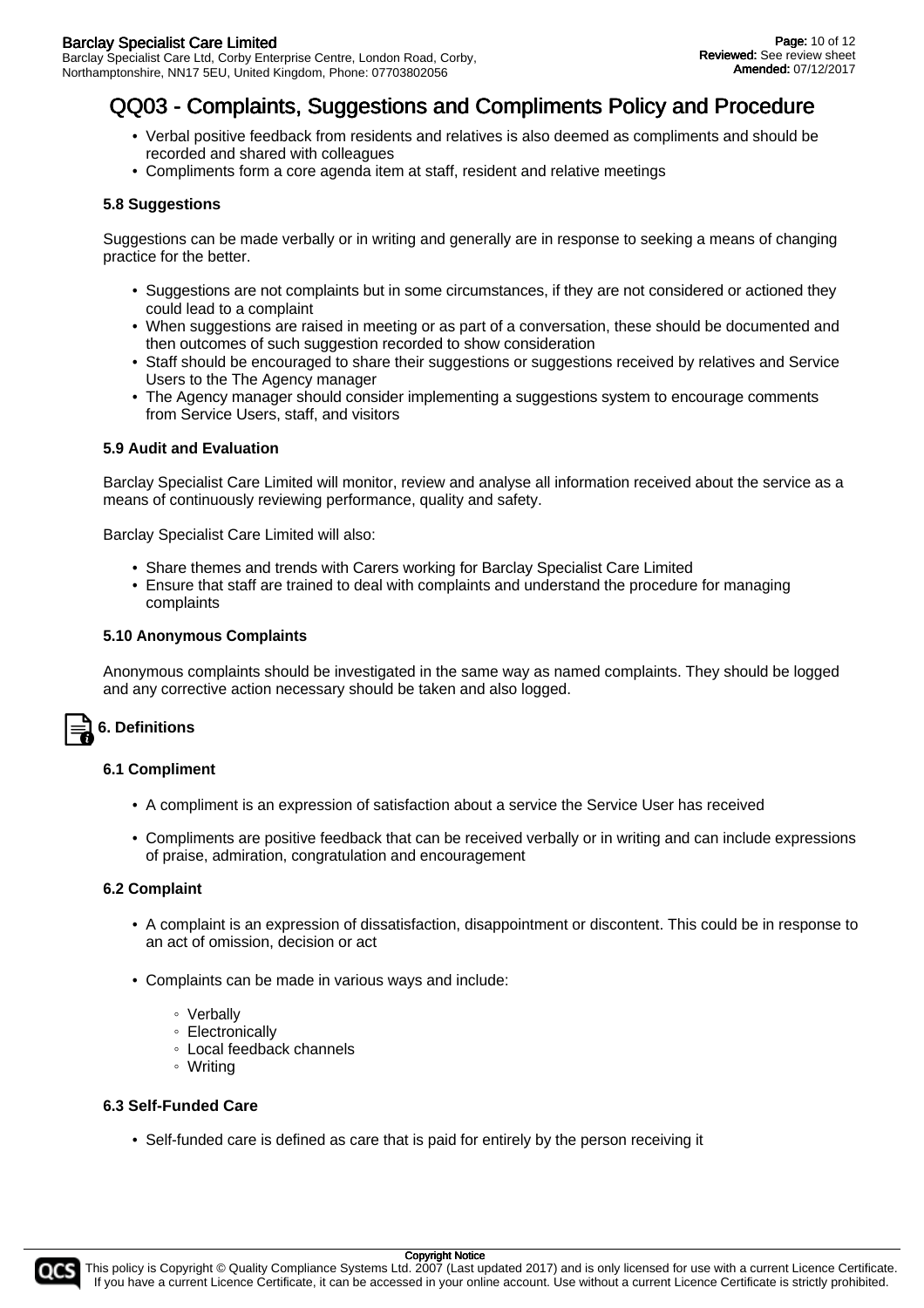- Verbal positive feedback from residents and relatives is also deemed as compliments and should be recorded and shared with colleagues
- Compliments form a core agenda item at staff, resident and relative meetings

### **5.8 Suggestions**

Suggestions can be made verbally or in writing and generally are in response to seeking a means of changing practice for the better.

- Suggestions are not complaints but in some circumstances, if they are not considered or actioned they could lead to a complaint
- When suggestions are raised in meeting or as part of a conversation, these should be documented and then outcomes of such suggestion recorded to show consideration
- Staff should be encouraged to share their suggestions or suggestions received by relatives and Service Users to the The Agency manager
- The Agency manager should consider implementing a suggestions system to encourage comments from Service Users, staff, and visitors

### **5.9 Audit and Evaluation**

Barclay Specialist Care Limited will monitor, review and analyse all information received about the service as a means of continuously reviewing performance, quality and safety.

Barclay Specialist Care Limited will also:

- Share themes and trends with Carers working for Barclay Specialist Care Limited
- Ensure that staff are trained to deal with complaints and understand the procedure for managing complaints

### **5.10 Anonymous Complaints**

Anonymous complaints should be investigated in the same way as named complaints. They should be logged and any corrective action necessary should be taken and also logged.

# **6. Definitions**

#### **6.1 Compliment**

- A compliment is an expression of satisfaction about a service the Service User has received
- Compliments are positive feedback that can be received verbally or in writing and can include expressions of praise, admiration, congratulation and encouragement

### **6.2 Complaint**

- A complaint is an expression of dissatisfaction, disappointment or discontent. This could be in response to an act of omission, decision or act
- Complaints can be made in various ways and include:
	- Verbally
	- Electronically
	- Local feedback channels
	- Writing

#### **6.3 Self-Funded Care**

• Self-funded care is defined as care that is paid for entirely by the person receiving it



#### Copyright Notice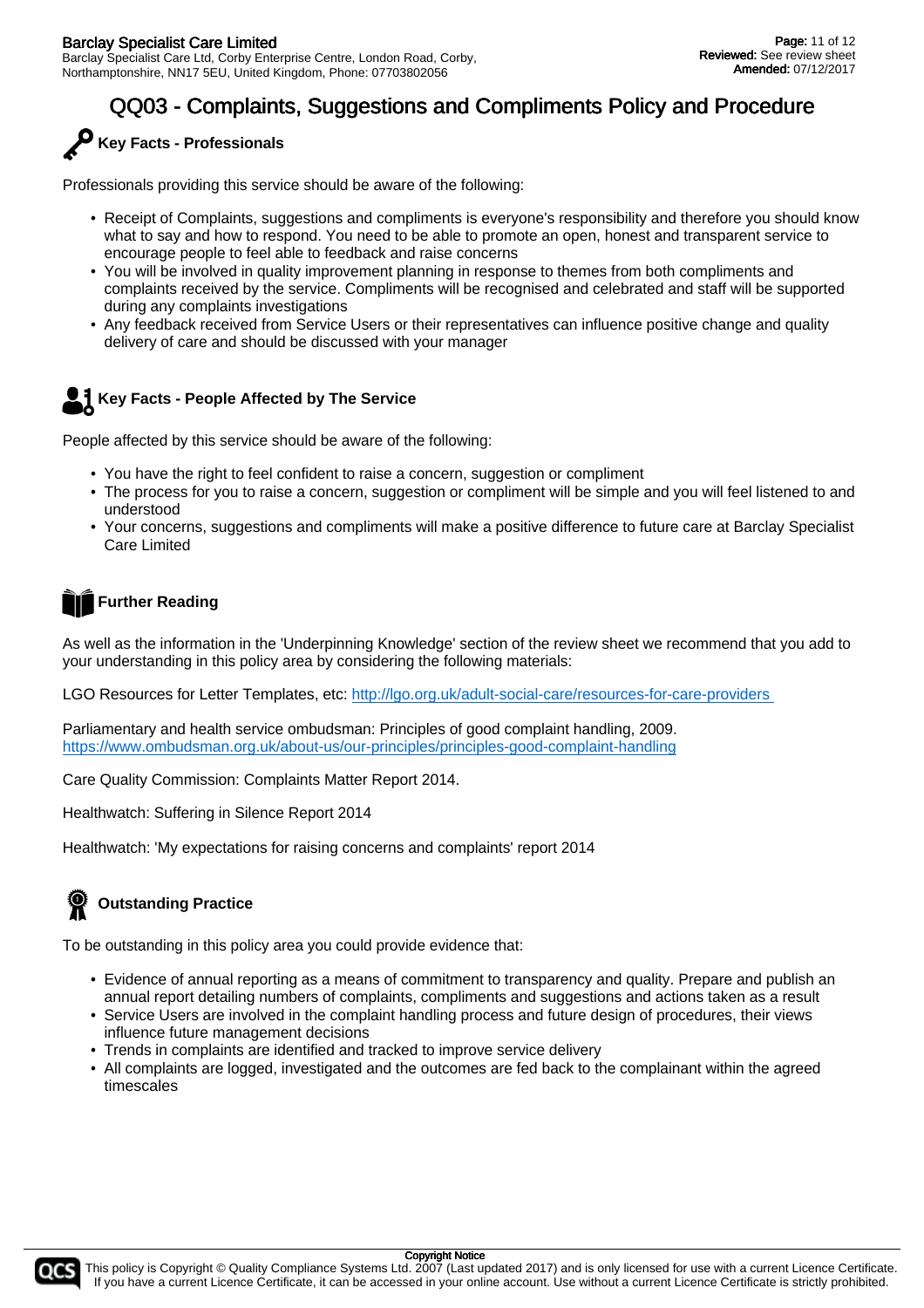

Professionals providing this service should be aware of the following:

- Receipt of Complaints, suggestions and compliments is everyone's responsibility and therefore you should know what to say and how to respond. You need to be able to promote an open, honest and transparent service to encourage people to feel able to feedback and raise concerns
- You will be involved in quality improvement planning in response to themes from both compliments and complaints received by the service. Compliments will be recognised and celebrated and staff will be supported during any complaints investigations
- Any feedback received from Service Users or their representatives can influence positive change and quality delivery of care and should be discussed with your manager

# **Key Facts - People Affected by The Service**

People affected by this service should be aware of the following:

- You have the right to feel confident to raise a concern, suggestion or compliment
- The process for you to raise a concern, suggestion or compliment will be simple and you will feel listened to and understood
- Your concerns, suggestions and compliments will make a positive difference to future care at Barclay Specialist Care Limited

# **Further Reading**

As well as the information in the 'Underpinning Knowledge' section of the review sheet we recommend that you add to your understanding in this policy area by considering the following materials:

LGO Resources for Letter Templates, etc: http://lgo.org.uk/adult-social-care/resources-for-care-providers

Parliamentary and health service ombudsman: Principles of good complaint handling, 2009. <https://www.ombudsman.org.uk/about-us/our-principles/principles-good-complaint-handling>

Care Quality Commission: Complaints Matter Report 2014.

Healthwatch: Suffering in Silence Report 2014

Healthwatch: 'My expectations for raising concerns and complaints' report 2014

# **Outstanding Practice**

To be outstanding in this policy area you could provide evidence that:

- Evidence of annual reporting as a means of commitment to transparency and quality. Prepare and publish an annual report detailing numbers of complaints, compliments and suggestions and actions taken as a result
- Service Users are involved in the complaint handling process and future design of procedures, their views influence future management decisions
- Trends in complaints are identified and tracked to improve service delivery
- All complaints are logged, investigated and the outcomes are fed back to the complainant within the agreed timescales



#### Copyright Notice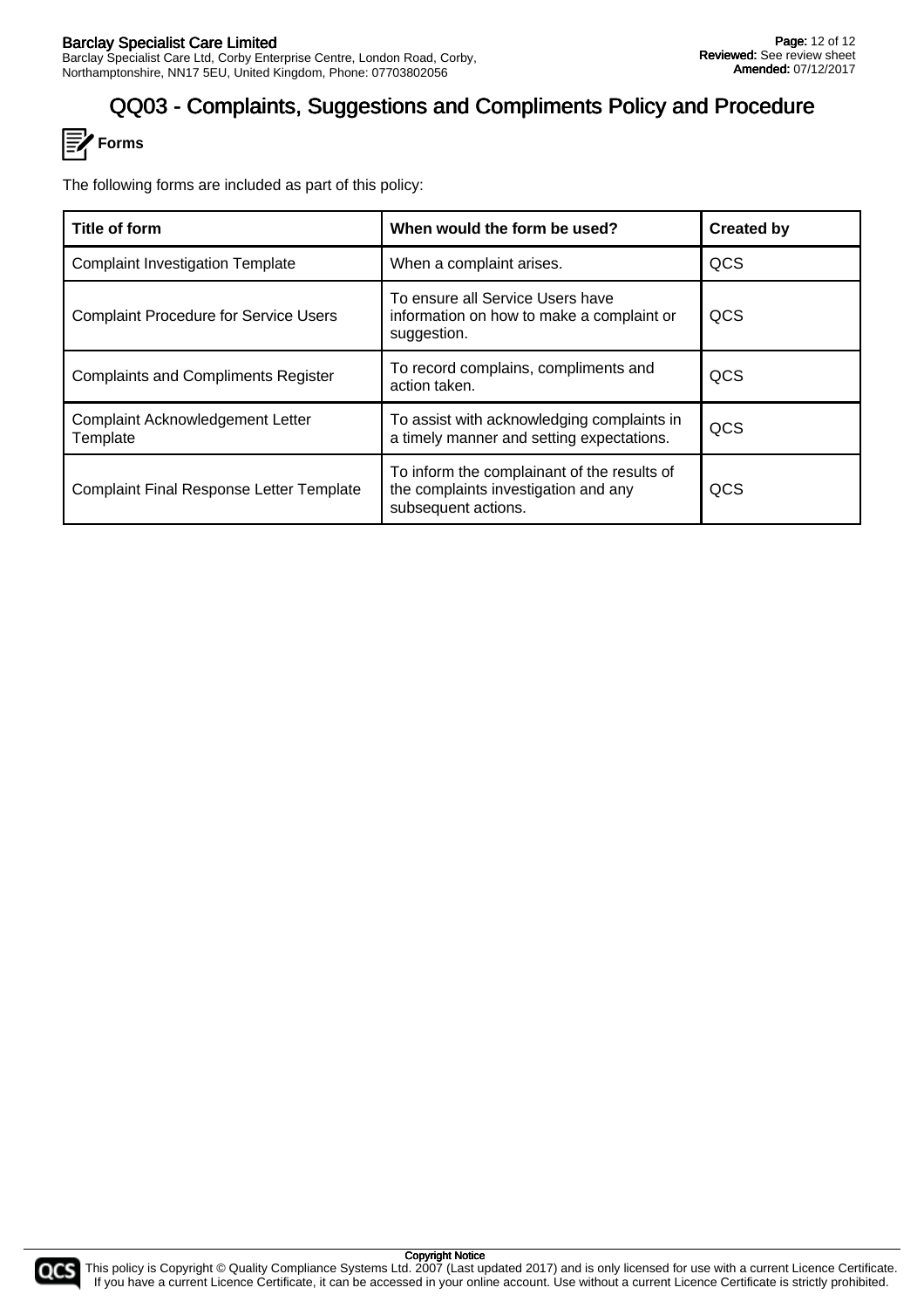

The following forms are included as part of this policy:

| Title of form                                       | When would the form be used?                                                                               | <b>Created by</b> |
|-----------------------------------------------------|------------------------------------------------------------------------------------------------------------|-------------------|
| <b>Complaint Investigation Template</b>             | When a complaint arises.                                                                                   | QCS               |
| <b>Complaint Procedure for Service Users</b>        | To ensure all Service Users have<br>information on how to make a complaint or<br>suggestion.               | QCS               |
| <b>Complaints and Compliments Register</b>          | To record complains, compliments and<br>action taken.                                                      | QCS               |
| <b>Complaint Acknowledgement Letter</b><br>Template | To assist with acknowledging complaints in<br>a timely manner and setting expectations.                    | QCS               |
| <b>Complaint Final Response Letter Template</b>     | To inform the complainant of the results of<br>the complaints investigation and any<br>subsequent actions. | QCS               |

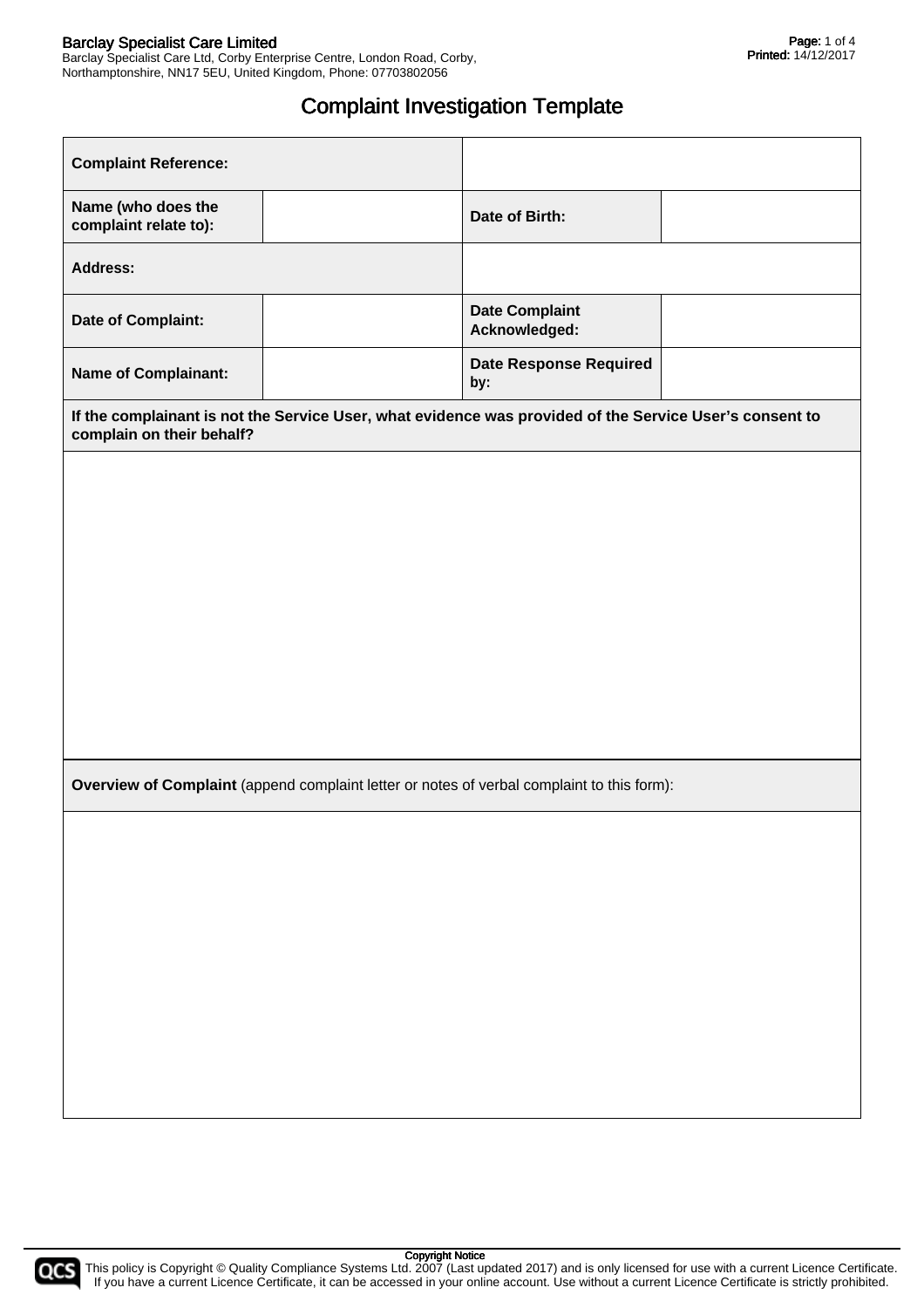# Complaint Investigation Template

| <b>Complaint Reference:</b>                 |                                                                                                         |                                        |  |
|---------------------------------------------|---------------------------------------------------------------------------------------------------------|----------------------------------------|--|
| Name (who does the<br>complaint relate to): |                                                                                                         | Date of Birth:                         |  |
| <b>Address:</b>                             |                                                                                                         |                                        |  |
| Date of Complaint:                          |                                                                                                         | <b>Date Complaint</b><br>Acknowledged: |  |
| <b>Name of Complainant:</b>                 |                                                                                                         | <b>Date Response Required</b><br>by:   |  |
| complain on their behalf?                   | If the complainant is not the Service User, what evidence was provided of the Service User's consent to |                                        |  |
|                                             |                                                                                                         |                                        |  |
|                                             |                                                                                                         |                                        |  |
|                                             |                                                                                                         |                                        |  |
|                                             |                                                                                                         |                                        |  |
|                                             |                                                                                                         |                                        |  |
|                                             |                                                                                                         |                                        |  |
|                                             |                                                                                                         |                                        |  |
|                                             | Overview of Complaint (append complaint letter or notes of verbal complaint to this form):              |                                        |  |
|                                             |                                                                                                         |                                        |  |
|                                             |                                                                                                         |                                        |  |
|                                             |                                                                                                         |                                        |  |
|                                             |                                                                                                         |                                        |  |
|                                             |                                                                                                         |                                        |  |
|                                             |                                                                                                         |                                        |  |

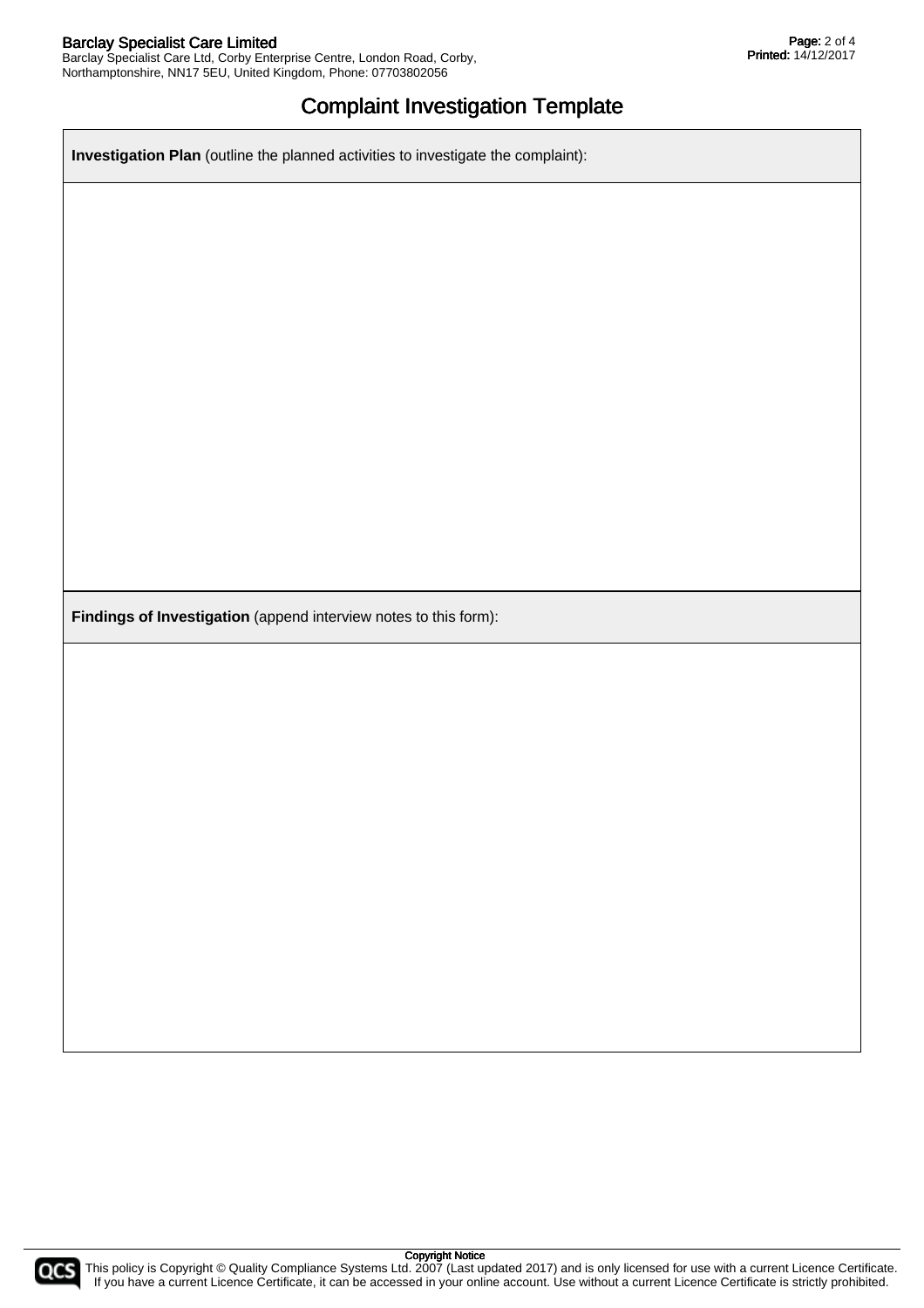# Complaint Investigation Template

**Investigation Plan** (outline the planned activities to investigate the complaint):

**Findings of Investigation** (append interview notes to this form):

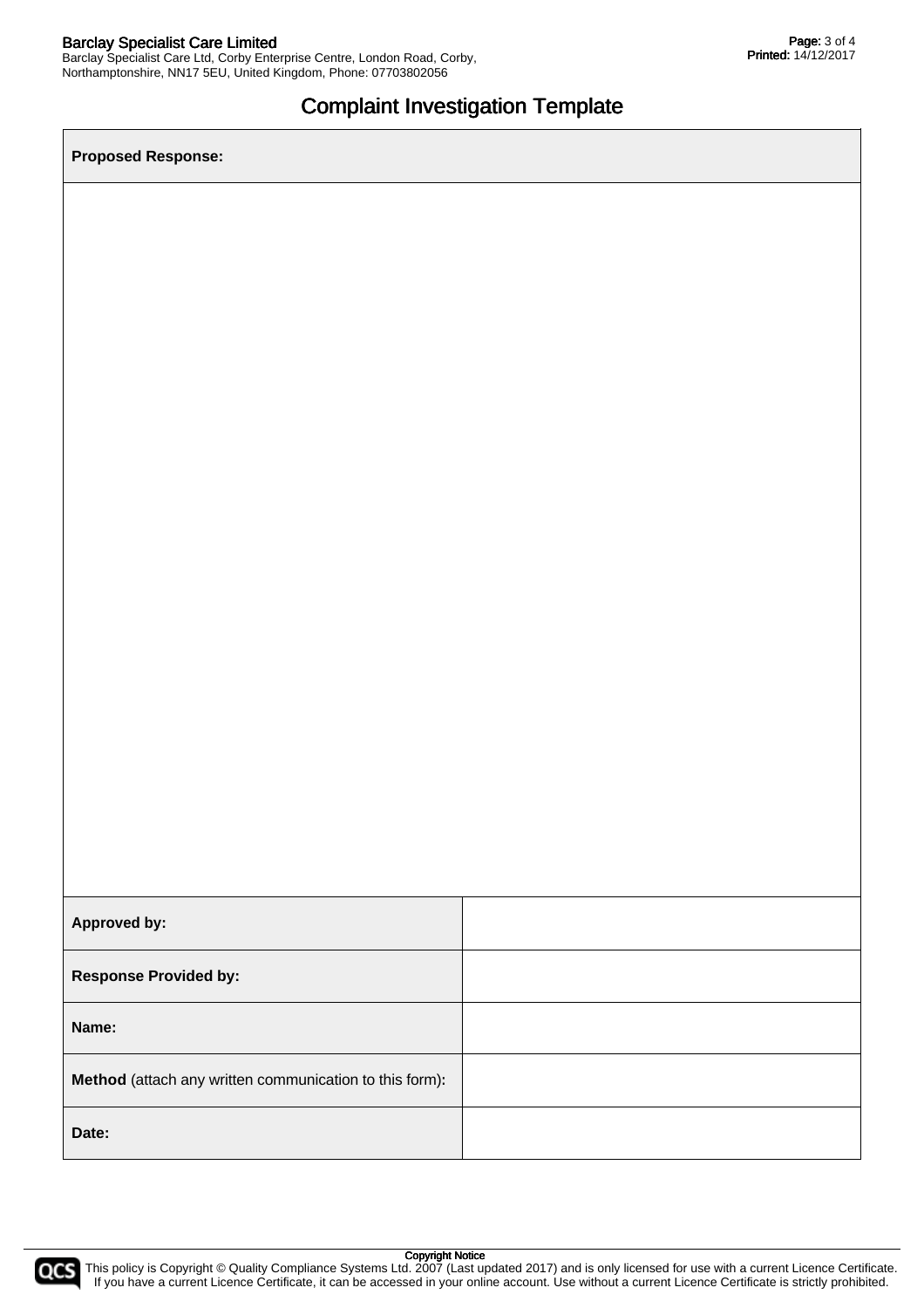Barclay Specialist Care Ltd, Corby Enterprise Centre, London Road, Corby, Northamptonshire, NN17 5EU, United Kingdom, Phone: 07703802056

# Complaint Investigation Template

**Proposed Response:**

| <b>Approved by:</b>                                     |  |
|---------------------------------------------------------|--|
| <b>Response Provided by:</b>                            |  |
| Name:                                                   |  |
| Method (attach any written communication to this form): |  |
| Date:                                                   |  |

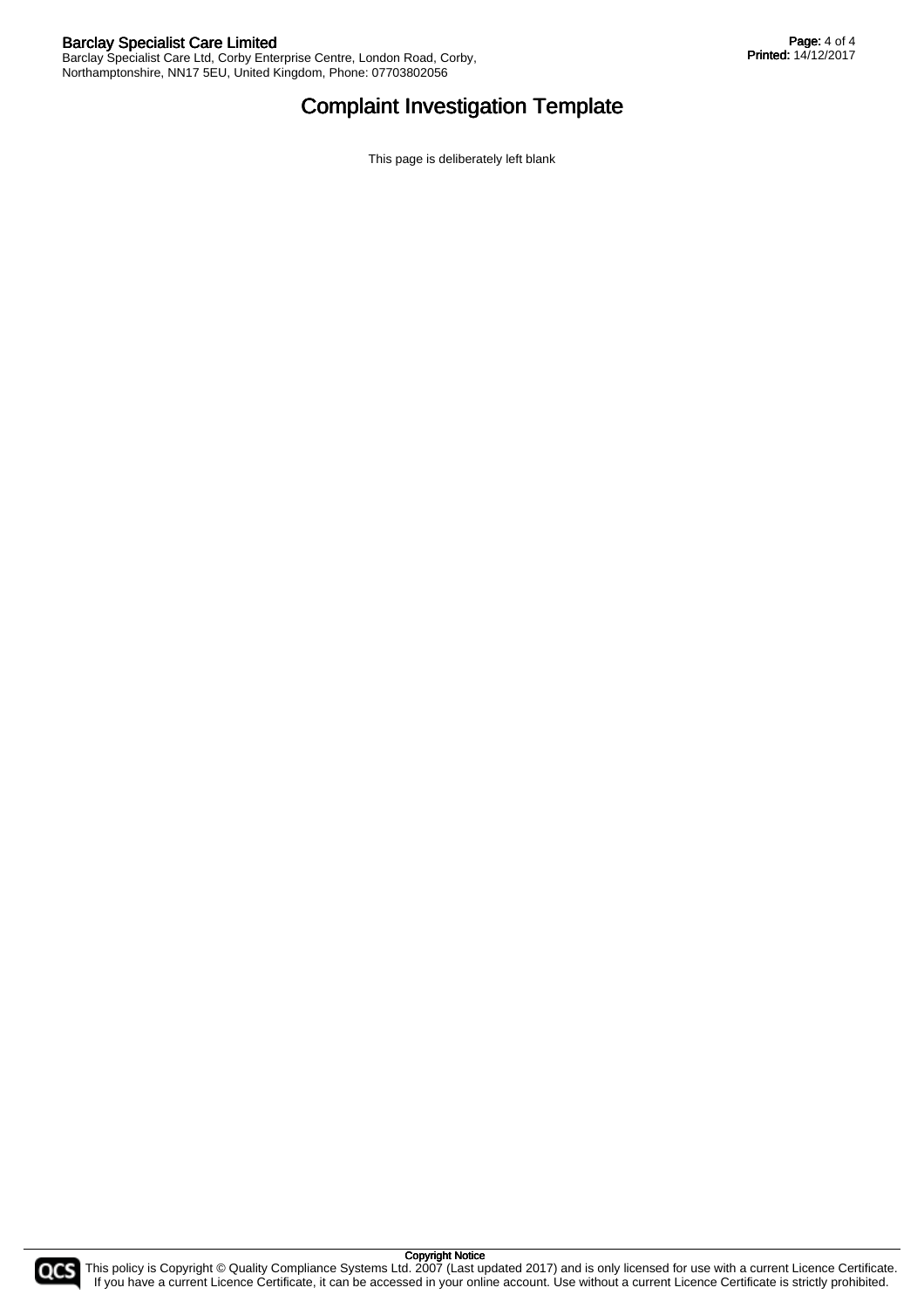# Complaint Investigation Template

This page is deliberately left blank

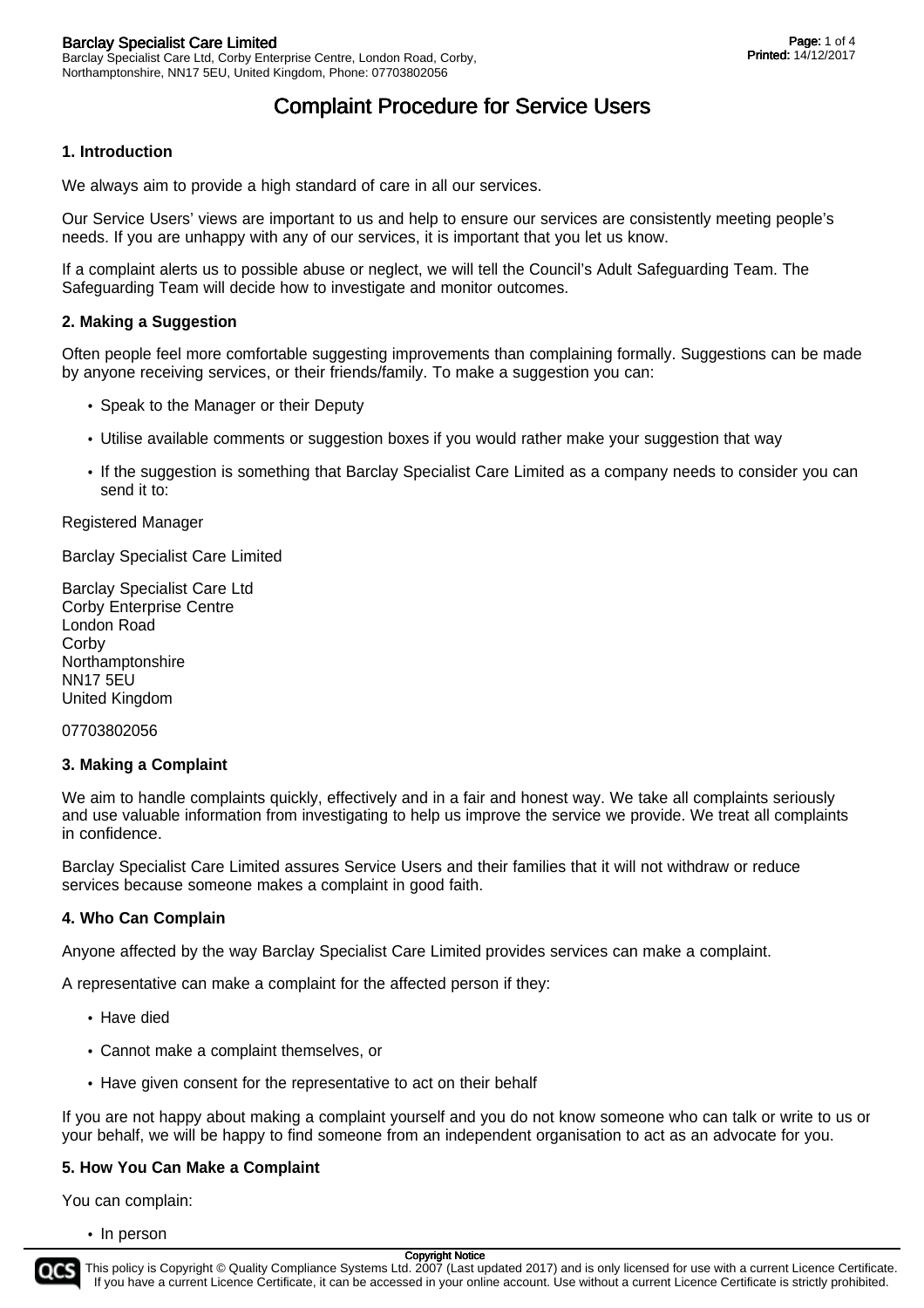# **1. Introduction**

We always aim to provide a high standard of care in all our services.

Our Service Users' views are important to us and help to ensure our services are consistently meeting people's needs. If you are unhappy with any of our services, it is important that you let us know.

If a complaint alerts us to possible abuse or neglect, we will tell the Council's Adult Safeguarding Team. The Safeguarding Team will decide how to investigate and monitor outcomes.

### **2. Making a Suggestion**

Often people feel more comfortable suggesting improvements than complaining formally. Suggestions can be made by anyone receiving services, or their friends/family. To make a suggestion you can:

- Speak to the Manager or their Deputy
- Utilise available comments or suggestion boxes if you would rather make your suggestion that way
- If the suggestion is something that Barclay Specialist Care Limited as a company needs to consider you can send it to:

Registered Manager

Barclay Specialist Care Limited

Barclay Specialist Care Ltd Corby Enterprise Centre London Road **Corby** Northamptonshire NN17 5EU United Kingdom

#### 07703802056

#### **3. Making a Complaint**

We aim to handle complaints quickly, effectively and in a fair and honest way. We take all complaints seriously and use valuable information from investigating to help us improve the service we provide. We treat all complaints in confidence.

Barclay Specialist Care Limited assures Service Users and their families that it will not withdraw or reduce services because someone makes a complaint in good faith.

### **4. Who Can Complain**

Anyone affected by the way Barclay Specialist Care Limited provides services can make a complaint.

A representative can make a complaint for the affected person if they:

- Have died
- Cannot make a complaint themselves, or
- Have given consent for the representative to act on their behalf

If you are not happy about making a complaint yourself and you do not know someone who can talk or write to us on your behalf, we will be happy to find someone from an independent organisation to act as an advocate for you.

#### **5. How You Can Make a Complaint**

You can complain:

• In person

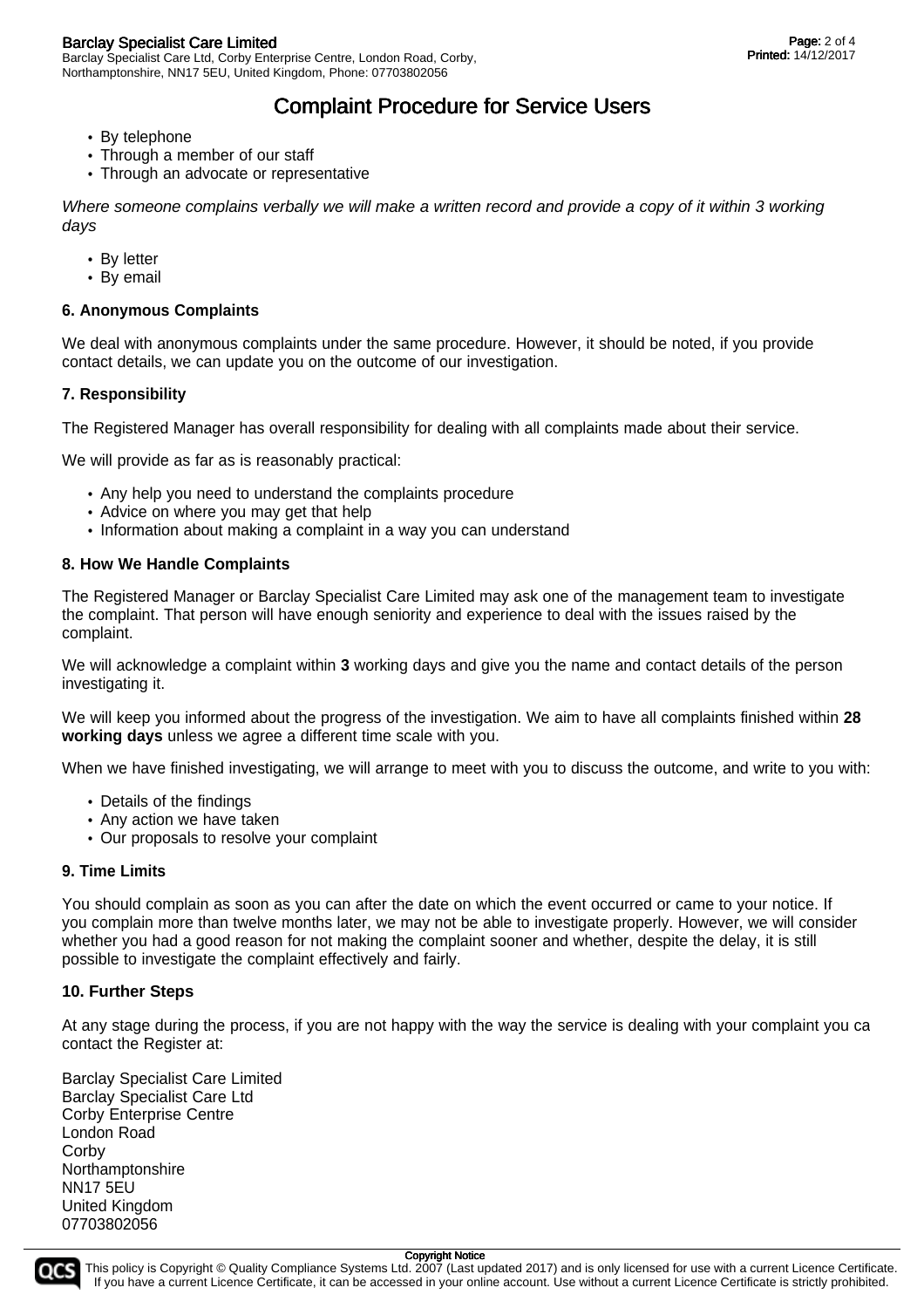- By telephone
- Through a member of our staff
- Through an advocate or representative

Where someone complains verbally we will make a written record and provide a copy of it within 3 working days

- By letter
- By email

# **6. Anonymous Complaints**

We deal with anonymous complaints under the same procedure. However, it should be noted, if you provide contact details, we can update you on the outcome of our investigation.

# **7. Responsibility**

The Registered Manager has overall responsibility for dealing with all complaints made about their service.

We will provide as far as is reasonably practical:

- Any help you need to understand the complaints procedure
- Advice on where you may get that help
- Information about making a complaint in a way you can understand

# **8. How We Handle Complaints**

The Registered Manager or Barclay Specialist Care Limited may ask one of the management team to investigate the complaint. That person will have enough seniority and experience to deal with the issues raised by the complaint.

We will acknowledge a complaint within **3** working days and give you the name and contact details of the person investigating it.

We will keep you informed about the progress of the investigation. We aim to have all complaints finished within **28 working days** unless we agree a different time scale with you.

When we have finished investigating, we will arrange to meet with you to discuss the outcome, and write to you with:

- Details of the findings
- Any action we have taken
- Our proposals to resolve your complaint

### **9. Time Limits**

You should complain as soon as you can after the date on which the event occurred or came to your notice. If you complain more than twelve months later, we may not be able to investigate properly. However, we will consider whether you had a good reason for not making the complaint sooner and whether, despite the delay, it is still possible to investigate the complaint effectively and fairly.

### **10. Further Steps**

At any stage during the process, if you are not happy with the way the service is dealing with your complaint you can contact the Register at:

Barclay Specialist Care Limited Barclay Specialist Care Ltd Corby Enterprise Centre London Road **Corby** Northamptonshire NN17 5EU United Kingdom 07703802056



Copyright Notice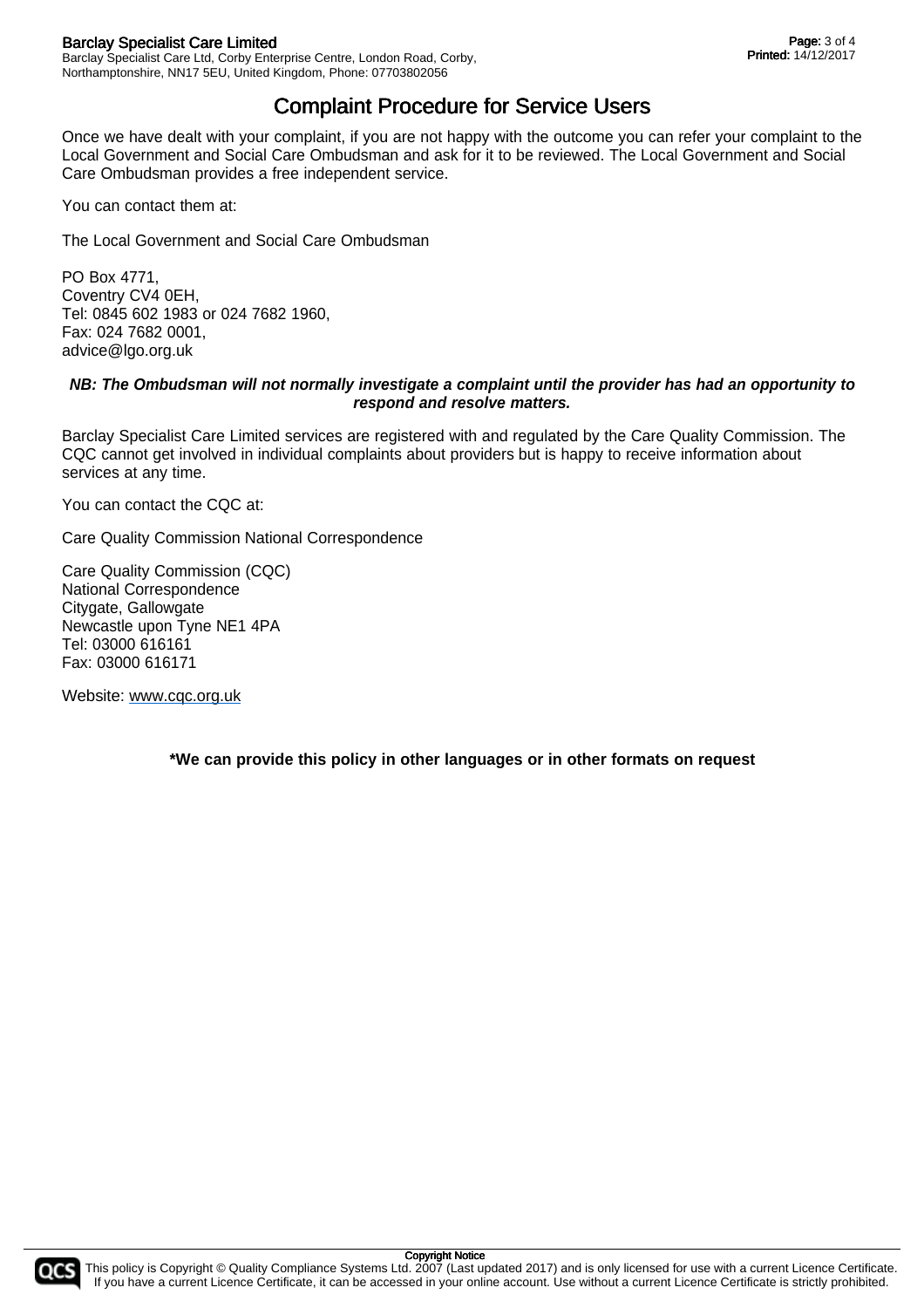Once we have dealt with your complaint, if you are not happy with the outcome you can refer your complaint to the Local Government and Social Care Ombudsman and ask for it to be reviewed. The Local Government and Social Care Ombudsman provides a free independent service.

You can contact them at:

The Local Government and Social Care Ombudsman

PO Box 4771, Coventry CV4 0EH, Tel: 0845 602 1983 or 024 7682 1960, Fax: 024 7682 0001, advice@lgo.org.uk

### **NB: The Ombudsman will not normally investigate a complaint until the provider has had an opportunity to respond and resolve matters.**

Barclay Specialist Care Limited services are registered with and regulated by the Care Quality Commission. The CQC cannot get involved in individual complaints about providers but is happy to receive information about services at any time.

You can contact the CQC at:

Care Quality Commission National Correspondence

Care Quality Commission (CQC) National Correspondence Citygate, Gallowgate Newcastle upon Tyne NE1 4PA Tel: 03000 616161 Fax: 03000 616171

Website: www.cqc.org.uk

**\*We can provide this policy in other languages or in other formats on request**



This policy is Copyright © Quality Compliance Systems Ltd. 2007 (Last updated 2017) and is only licensed for use with a current Licence Certificate. If you have a current Licence Certificate, it can be accessed in your online account. Use without a current Licence Certificate is strictly prohibited.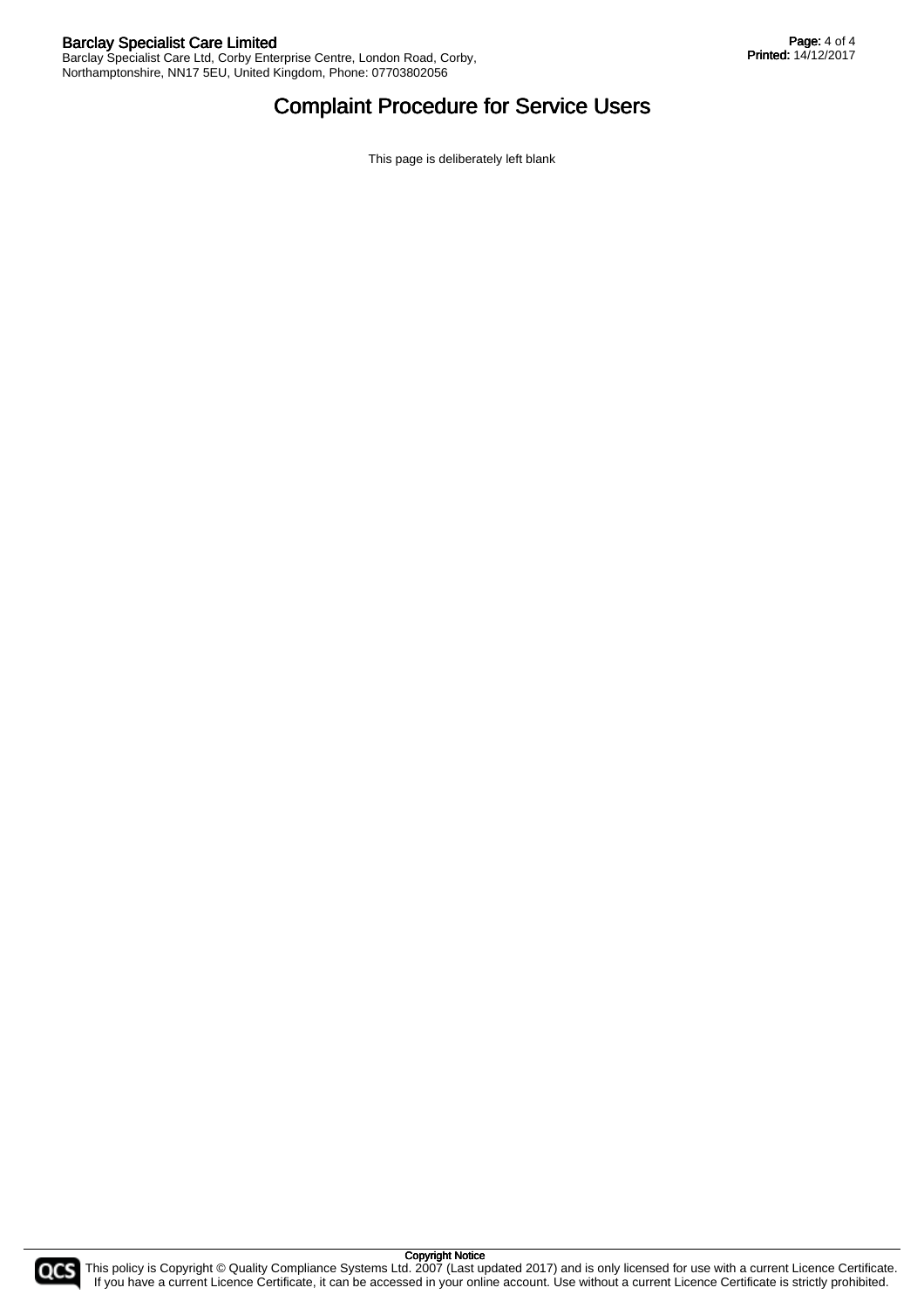This page is deliberately left blank

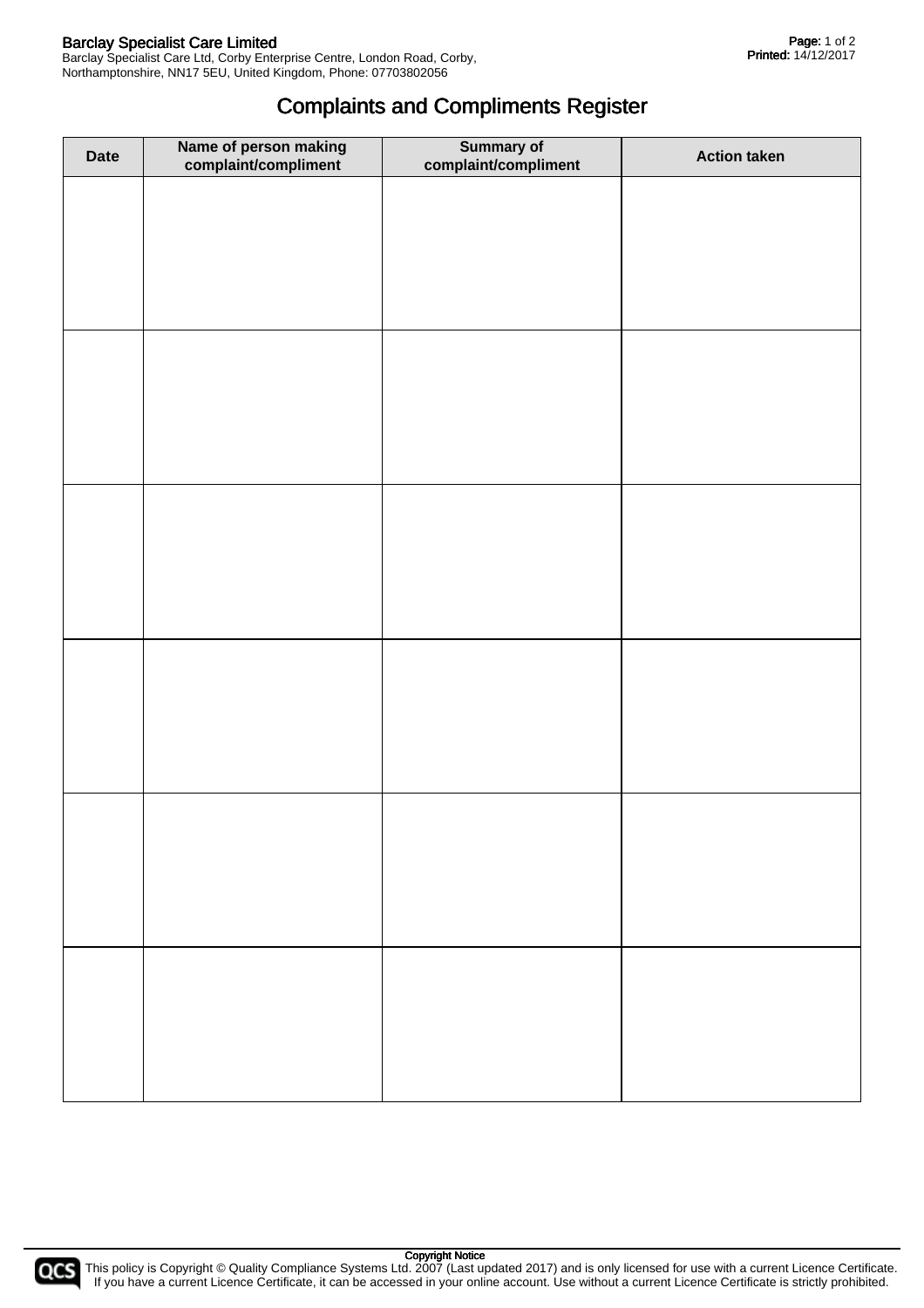# Complaints and Compliments Register

| <b>Date</b> | Name of person making<br>complaint/compliment | Summary of<br>complaint/compliment | <b>Action taken</b> |
|-------------|-----------------------------------------------|------------------------------------|---------------------|
|             |                                               |                                    |                     |
|             |                                               |                                    |                     |
|             |                                               |                                    |                     |
|             |                                               |                                    |                     |
|             |                                               |                                    |                     |
|             |                                               |                                    |                     |
|             |                                               |                                    |                     |
|             |                                               |                                    |                     |
|             |                                               |                                    |                     |
|             |                                               |                                    |                     |
|             |                                               |                                    |                     |
|             |                                               |                                    |                     |
|             |                                               |                                    |                     |
|             |                                               |                                    |                     |
|             |                                               |                                    |                     |
|             |                                               |                                    |                     |
|             |                                               |                                    |                     |
|             |                                               |                                    |                     |
|             |                                               |                                    |                     |
|             |                                               |                                    |                     |
|             |                                               |                                    |                     |
|             |                                               |                                    |                     |
|             |                                               |                                    |                     |
|             |                                               |                                    |                     |
|             |                                               |                                    |                     |
|             |                                               |                                    |                     |
|             |                                               |                                    |                     |



This policy is Copyright © Quality Compliance Systems Ltd. 2007 (Last updated 2017) and is only licensed for use with a current Licence Certificate.<br>If you have a current Licence Certificate, it can be accessed in your onl If you have a current Licence Certificate, it can be accessed in your online account. Use without a current Licence Certificate is strictly prohibited.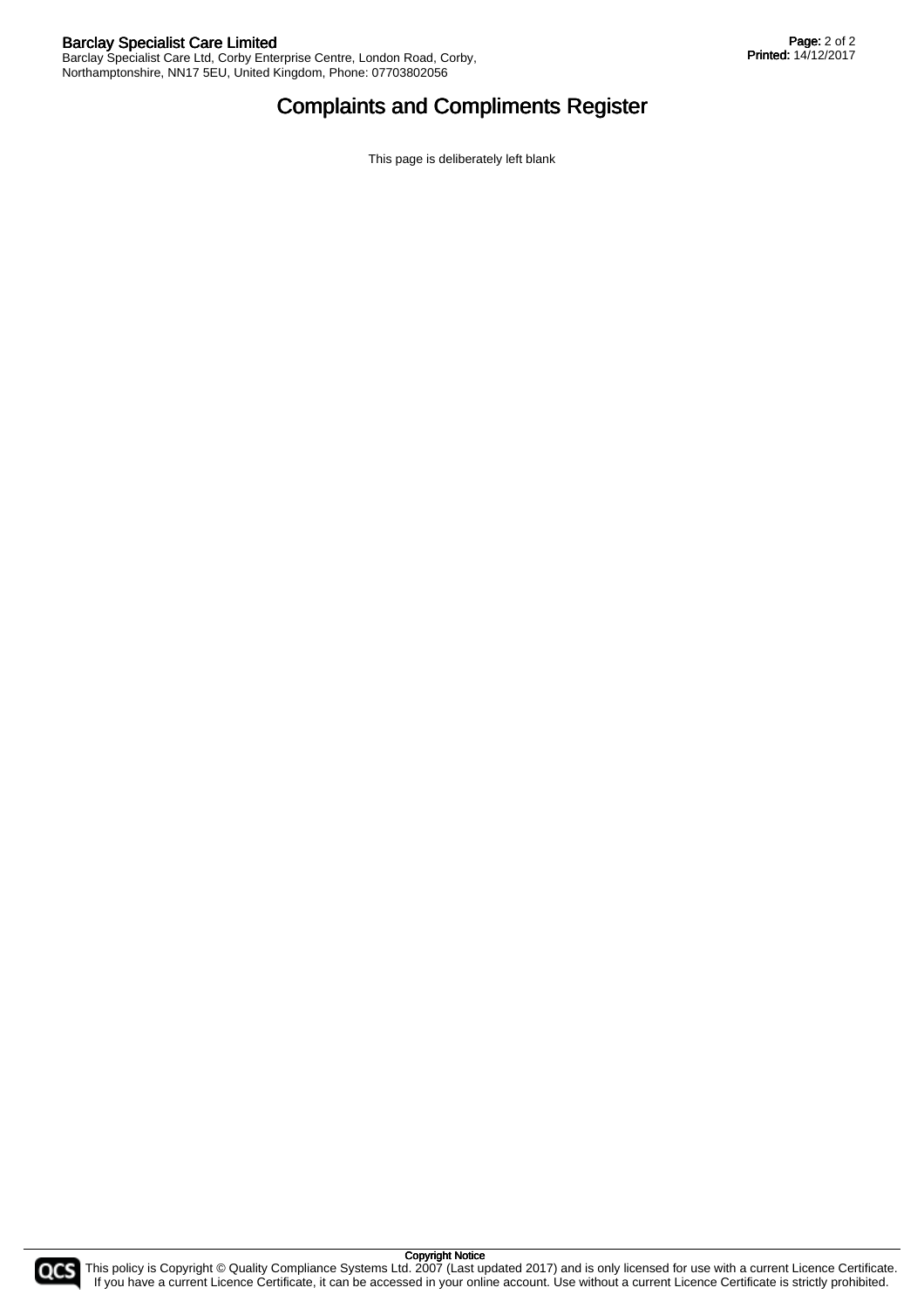# Complaints and Compliments Register

This page is deliberately left blank

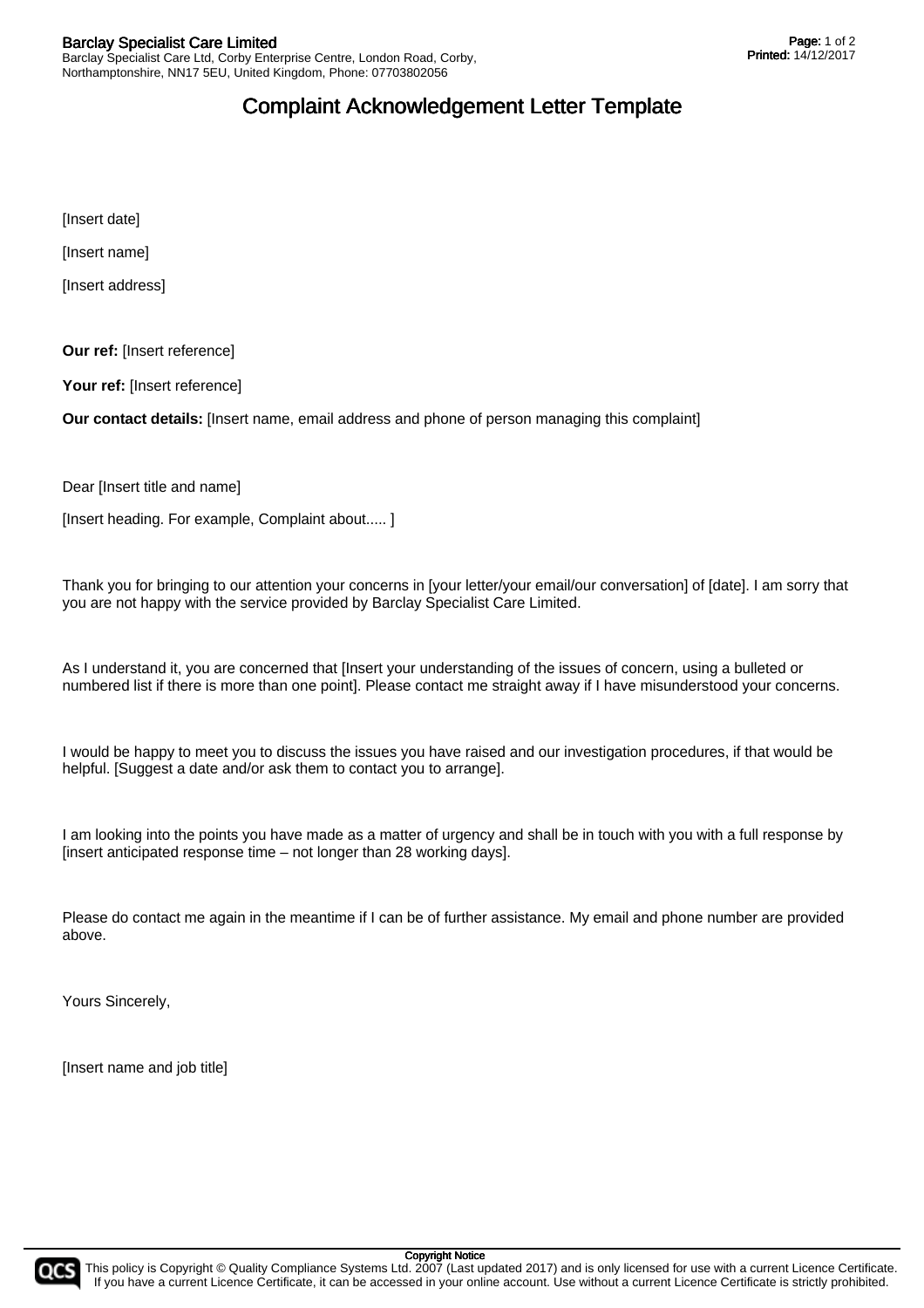# Complaint Acknowledgement Letter Template

[Insert date]

[Insert name]

[Insert address]

**Our ref:** [Insert reference]

Your ref: [Insert reference]

**Our contact details:** [Insert name, email address and phone of person managing this complaint]

Dear [Insert title and name]

[Insert heading. For example, Complaint about.....]

Thank you for bringing to our attention your concerns in [your letter/your email/our conversation] of [date]. I am sorry that you are not happy with the service provided by Barclay Specialist Care Limited.

As I understand it, you are concerned that [Insert your understanding of the issues of concern, using a bulleted or numbered list if there is more than one point]. Please contact me straight away if I have misunderstood your concerns.

I would be happy to meet you to discuss the issues you have raised and our investigation procedures, if that would be helpful. [Suggest a date and/or ask them to contact you to arrange].

I am looking into the points you have made as a matter of urgency and shall be in touch with you with a full response by [insert anticipated response time – not longer than 28 working days].

Please do contact me again in the meantime if I can be of further assistance. My email and phone number are provided above.

Yours Sincerely,

[Insert name and job title]



Copyright Notice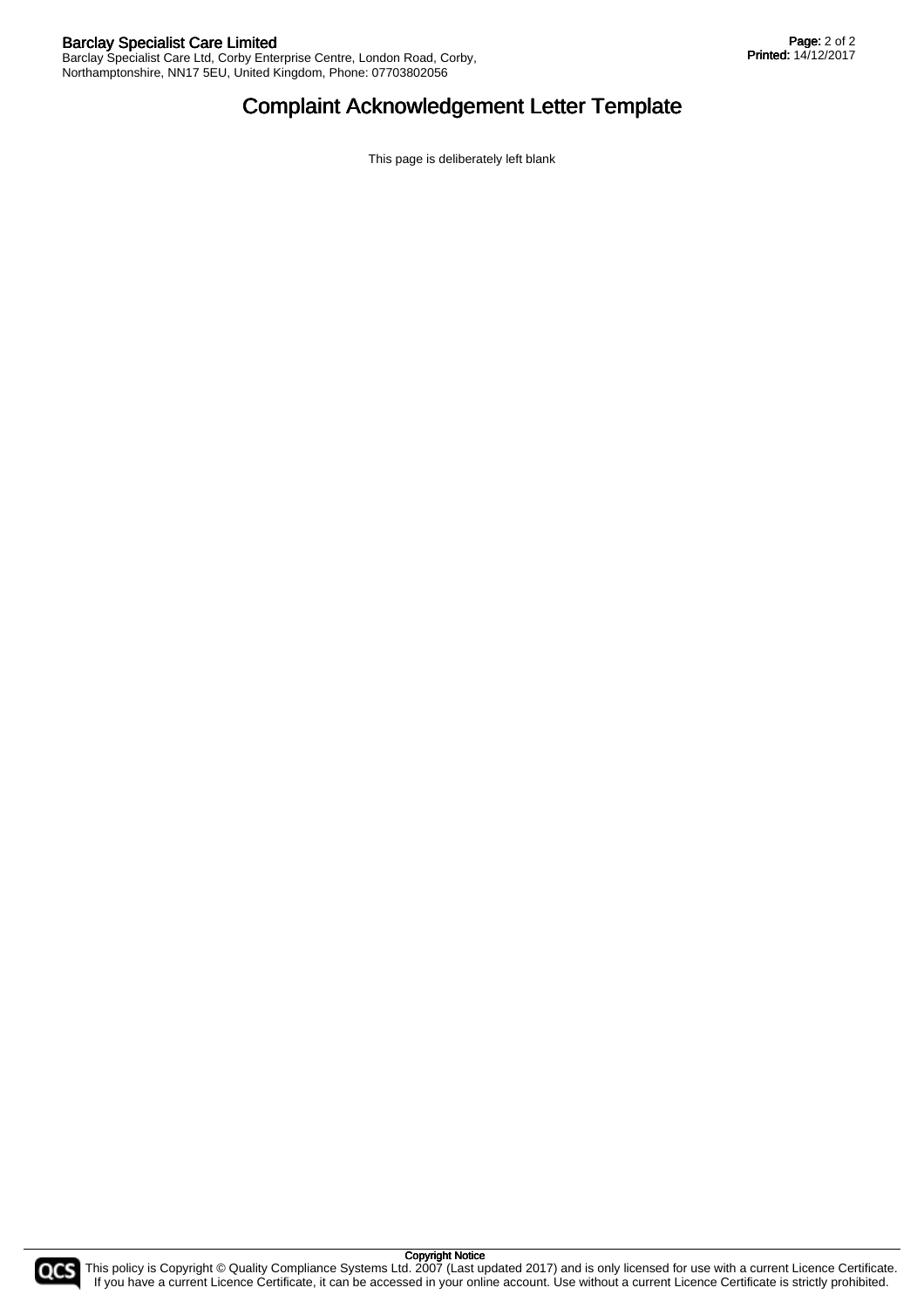# Complaint Acknowledgement Letter Template

This page is deliberately left blank

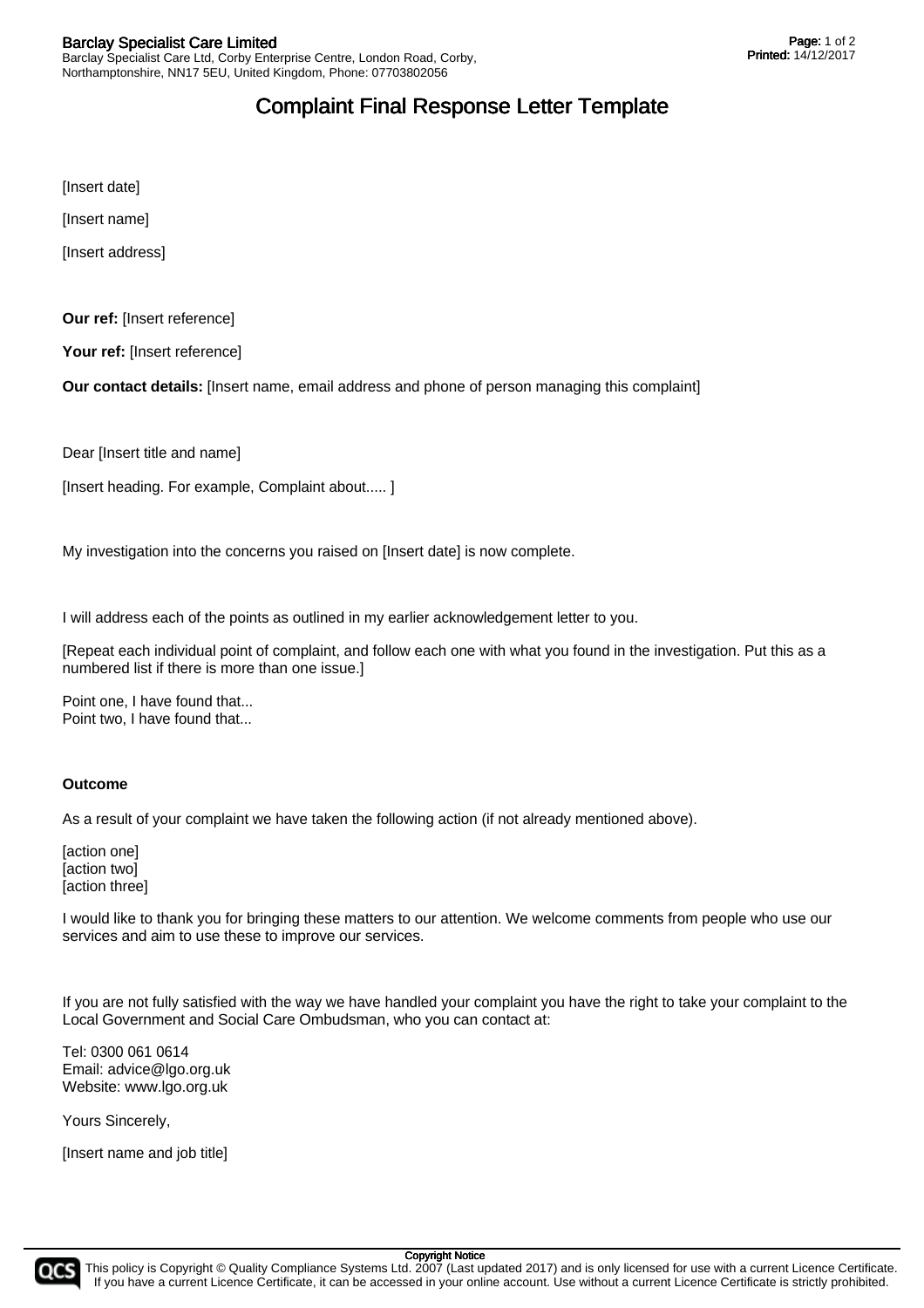# Complaint Final Response Letter Template

[Insert date]

[Insert name]

[Insert address]

**Our ref:** [Insert reference]

Your ref: [Insert reference]

**Our contact details:** [Insert name, email address and phone of person managing this complaint]

Dear [Insert title and name]

[Insert heading. For example, Complaint about..... ]

My investigation into the concerns you raised on [Insert date] is now complete.

I will address each of the points as outlined in my earlier acknowledgement letter to you.

[Repeat each individual point of complaint, and follow each one with what you found in the investigation. Put this as a numbered list if there is more than one issue.]

Point one, I have found that... Point two, I have found that...

#### **Outcome**

As a result of your complaint we have taken the following action (if not already mentioned above).

[action one] [action two] [action three]

I would like to thank you for bringing these matters to our attention. We welcome comments from people who use our services and aim to use these to improve our services.

If you are not fully satisfied with the way we have handled your complaint you have the right to take your complaint to the Local Government and Social Care Ombudsman, who you can contact at:

Tel: 0300 061 0614 Email: advice@lgo.org.uk Website: www.lgo.org.uk

Yours Sincerely,

[Insert name and job title]